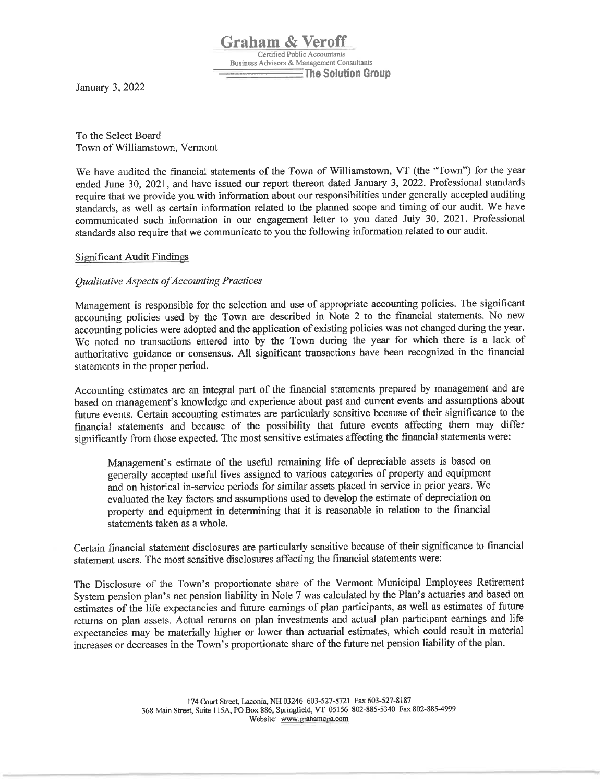Graham & Veroff **Certified Public Accountants** Business Advisors & Management Consultants <del>-</del> The Solution Group

January 3, 2022

To the Select Board Town of Williamstown, Vermont

We have audited the financial statements of the Town of Williamstown, VT (the "Town") for the year ended June 30, 2021, and have issued our report thereon dated January 3, 2022. Professional standards require that we provide you with information about our responsibilities under generally accepted auditing standards, as well as certain information related to the planned scope and timing of our audit. We have communicated such information in our engagement letter to you dated July 30, 2021. Professional standards also require that we communicate to you the following information related to our audit.

#### **Significant Audit Findings**

#### **Qualitative Aspects of Accounting Practices**

Management is responsible for the selection and use of appropriate accounting policies. The significant accounting policies used by the Town are described in Note 2 to the financial statements. No new accounting policies were adopted and the application of existing policies was not changed during the year. We noted no transactions entered into by the Town during the year for which there is a lack of authoritative guidance or consensus. All significant transactions have been recognized in the financial statements in the proper period.

Accounting estimates are an integral part of the financial statements prepared by management and are based on management's knowledge and experience about past and current events and assumptions about future events. Certain accounting estimates are particularly sensitive because of their significance to the financial statements and because of the possibility that future events affecting them may differ significantly from those expected. The most sensitive estimates affecting the financial statements were:

Management's estimate of the useful remaining life of depreciable assets is based on generally accepted useful lives assigned to various categories of property and equipment and on historical in-service periods for similar assets placed in service in prior years. We evaluated the key factors and assumptions used to develop the estimate of depreciation on property and equipment in determining that it is reasonable in relation to the financial statements taken as a whole.

Certain financial statement disclosures are particularly sensitive because of their significance to financial statement users. The most sensitive disclosures affecting the financial statements were:

The Disclosure of the Town's proportionate share of the Vermont Municipal Employees Retirement System pension plan's net pension liability in Note 7 was calculated by the Plan's actuaries and based on estimates of the life expectancies and future earnings of plan participants, as well as estimates of future returns on plan assets. Actual returns on plan investments and actual plan participant earnings and life expectancies may be materially higher or lower than actuarial estimates, which could result in material increases or decreases in the Town's proportionate share of the future net pension liability of the plan.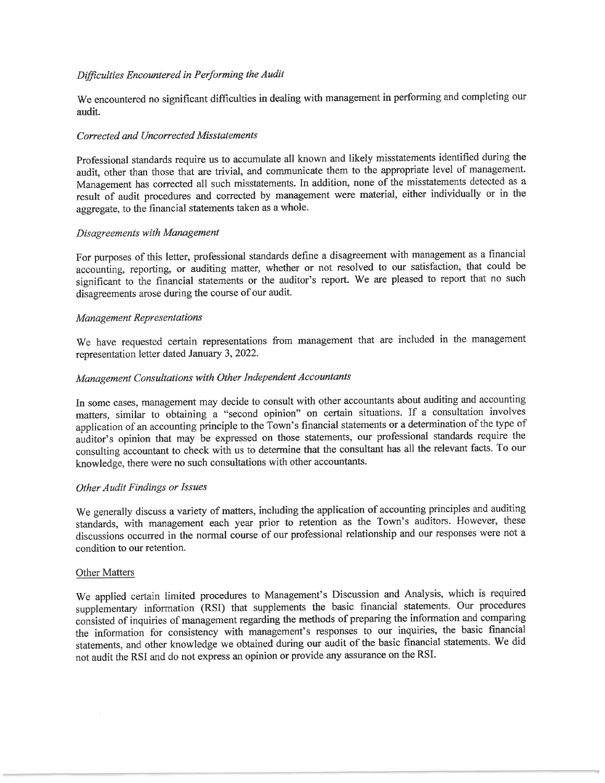#### Difficulties Encountered in Performing the Audit

We encountered no significant difficulties in dealing with management in performing and completing our audit.

#### Corrected and Uncorrected Misstatements

Professional standards require us to accumulate all known and likely misstatements identified during the audit, other than those that are trivial, and communicate them to the appropriate level of management. Management has corrected all such misstatements. In addition, none of the misstatements detected as a result of audit procedures and corrected by management were material, either individually or in the aggregate, to the financial statements taken as a whole.

#### Disagreements with Management

For purposes of this letter, professional standards define a disagreement with management as a financial accounting, reporting, or auditing matter, whether or not resolved to our satisfaction, that could be significant to the financial statements or the auditor's report. We are pleased to report that no such disagreements arose during the course of our audit.

#### **Management Representations**

We have requested certain representations from management that are included in the management representation letter dated January 3, 2022.

### Management Consultations with Other Independent Accountants

In some cases, management may decide to consult with other accountants about auditing and accounting matters, similar to obtaining a "second opinion" on certain situations. If a consultation involves application of an accounting principle to the Town's financial statements or a determination of the type of auditor's opinion that may be expressed on those statements, our professional standards require the consulting accountant to check with us to determine that the consultant has all the relevant facts. To our knowledge, there were no such consultations with other accountants.

#### **Other Audit Findings or Issues**

We generally discuss a variety of matters, including the application of accounting principles and auditing standards, with management each year prior to retention as the Town's auditors. However, these discussions occurred in the normal course of our professional relationship and our responses were not a condition to our retention.

#### **Other Matters**

We applied certain limited procedures to Management's Discussion and Analysis, which is required supplementary information (RSI) that supplements the basic financial statements. Our procedures consisted of inquiries of management regarding the methods of preparing the information and comparing the information for consistency with management's responses to our inquiries, the basic financial statements, and other knowledge we obtained during our audit of the basic financial statements. We did not audit the RSI and do not express an opinion or provide any assurance on the RSI.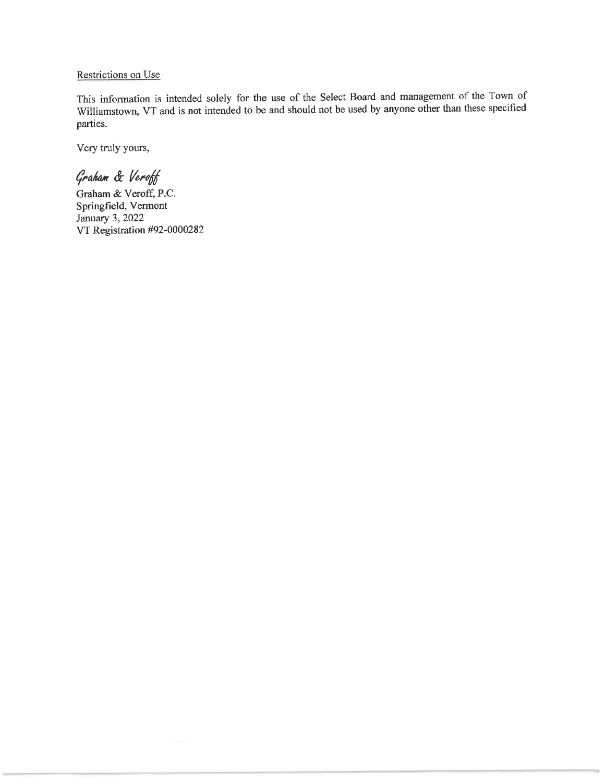#### Restrictions on Use

This information is intended solely for the use of the Select Board and management of the Town of Williamstown, VT and is not intended to be and should not be used by anyone other than these specified parties.

Very truly yours,

Graham & Veroff

Graham & Veroff, P.C. Springfield, Vermont January 3, 2022 VT Registration #92-0000282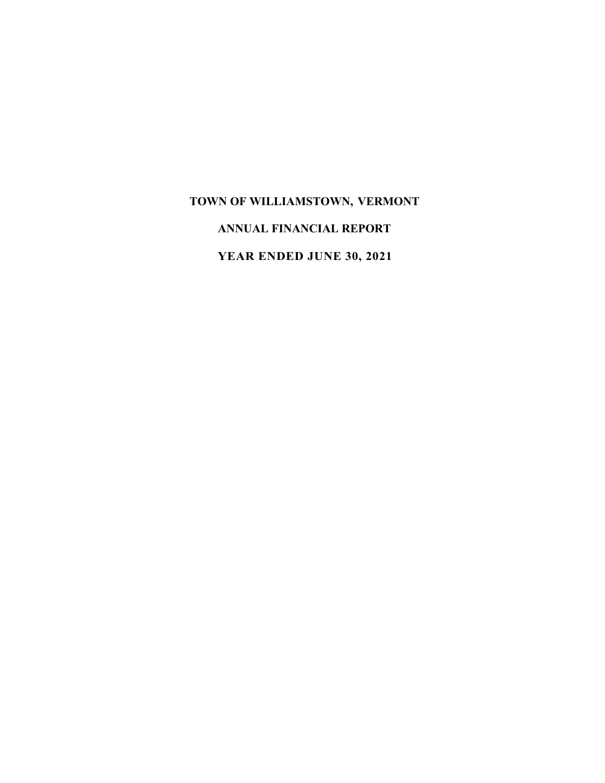# **TOWN OF WILLIAMSTOWN, VERMONT ANNUAL FINANCIAL REPORT YEAR ENDED JUNE 30, 2021**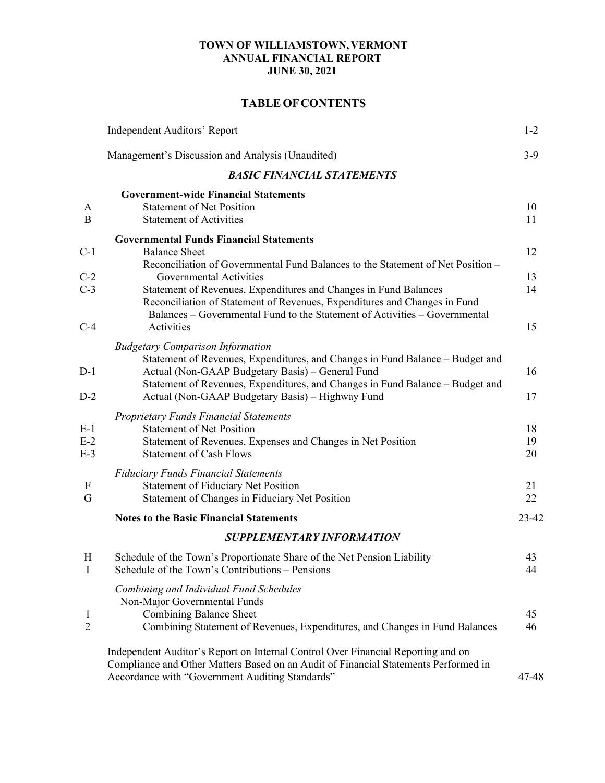### **TOWN OF WILLIAMSTOWN, VERMONT ANNUAL FINANCIAL REPORT JUNE 30, 2021**

# **TABLE OF CONTENTS**

|                         | Independent Auditors' Report                                                                                                                                                                                                                                                                                                    | $1 - 2$        |
|-------------------------|---------------------------------------------------------------------------------------------------------------------------------------------------------------------------------------------------------------------------------------------------------------------------------------------------------------------------------|----------------|
|                         | Management's Discussion and Analysis (Unaudited)                                                                                                                                                                                                                                                                                | $3-9$          |
|                         | <b>BASIC FINANCIAL STATEMENTS</b>                                                                                                                                                                                                                                                                                               |                |
| A<br>B                  | <b>Government-wide Financial Statements</b><br><b>Statement of Net Position</b><br><b>Statement of Activities</b>                                                                                                                                                                                                               | 10<br>11       |
| $C-1$                   | <b>Governmental Funds Financial Statements</b><br><b>Balance Sheet</b><br>Reconciliation of Governmental Fund Balances to the Statement of Net Position -                                                                                                                                                                       | 12             |
| $C-2$<br>$C-3$          | Governmental Activities<br>Statement of Revenues, Expenditures and Changes in Fund Balances<br>Reconciliation of Statement of Revenues, Expenditures and Changes in Fund<br>Balances – Governmental Fund to the Statement of Activities – Governmental                                                                          | 13<br>14       |
| $C-4$<br>$D-1$<br>$D-2$ | Activities<br><b>Budgetary Comparison Information</b><br>Statement of Revenues, Expenditures, and Changes in Fund Balance - Budget and<br>Actual (Non-GAAP Budgetary Basis) - General Fund<br>Statement of Revenues, Expenditures, and Changes in Fund Balance - Budget and<br>Actual (Non-GAAP Budgetary Basis) - Highway Fund | 15<br>16<br>17 |
| $E-1$<br>$E-2$<br>$E-3$ | <b>Proprietary Funds Financial Statements</b><br><b>Statement of Net Position</b><br>Statement of Revenues, Expenses and Changes in Net Position<br><b>Statement of Cash Flows</b>                                                                                                                                              | 18<br>19<br>20 |
| F<br>G                  | <b>Fiduciary Funds Financial Statements</b><br><b>Statement of Fiduciary Net Position</b><br>Statement of Changes in Fiduciary Net Position                                                                                                                                                                                     | 21<br>22       |
|                         | <b>Notes to the Basic Financial Statements</b>                                                                                                                                                                                                                                                                                  | $23 - 42$      |
| H                       | <b>SUPPLEMENTARY INFORMATION</b><br>Schedule of the Town's Proportionate Share of the Net Pension Liability<br>Schedule of the Town's Contributions – Pensions                                                                                                                                                                  | 43<br>44       |
| 1<br>$\overline{2}$     | Combining and Individual Fund Schedules<br>Non-Major Governmental Funds<br><b>Combining Balance Sheet</b><br>Combining Statement of Revenues, Expenditures, and Changes in Fund Balances                                                                                                                                        | 45<br>46       |
|                         | Independent Auditor's Report on Internal Control Over Financial Reporting and on<br>Compliance and Other Matters Based on an Audit of Financial Statements Performed in<br>Accordance with "Government Auditing Standards"                                                                                                      | 47-48          |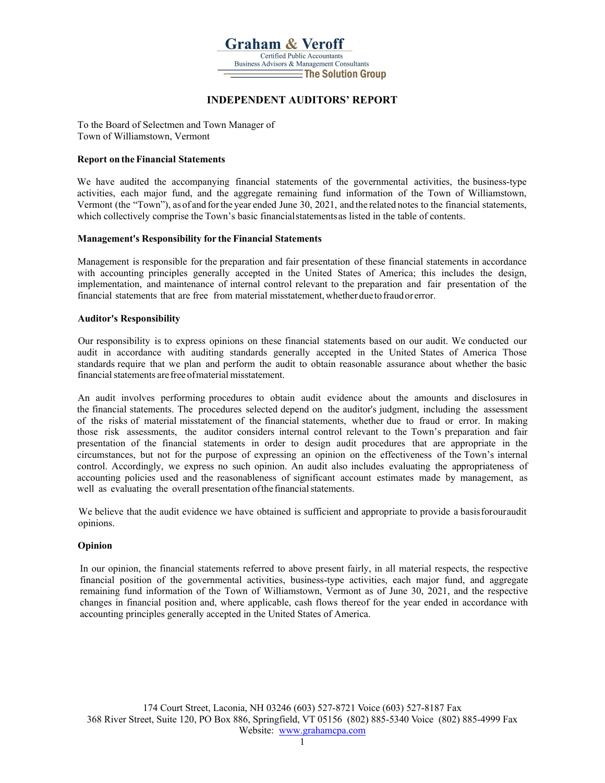

### **INDEPENDENT AUDITORS' REPORT**

To the Board of Selectmen and Town Manager of Town of Williamstown, Vermont

#### **Report on the Financial Statements**

We have audited the accompanying financial statements of the governmental activities, the business-type activities, each major fund, and the aggregate remaining fund information of the Town of Williamstown, Vermont (the "Town"), as of and for the year ended June 30, 2021, and the related notes to the financial statements, which collectively comprise the Town's basic financial statements as listed in the table of contents.

#### **Management's Responsibility for the Financial Statements**

Management is responsible for the preparation and fair presentation of these financial statements in accordance with accounting principles generally accepted in the United States of America; this includes the design, implementation, and maintenance of internal control relevant to the preparation and fair presentation of the financial statements that are free from material misstatement, whether due to fraud or error.

#### **Auditor's Responsibility**

Our responsibility is to express opinions on these financial statements based on our audit. We conducted our audit in accordance with auditing standards generally accepted in the United States of America Those standards require that we plan and perform the audit to obtain reasonable assurance about whether the basic financial statements are free of material misstatement.

An audit involves performing procedures to obtain audit evidence about the amounts and disclosures in the financial statements. The procedures selected depend on the auditor's judgment, including the assessment of the risks of material misstatement of the financial statements, whether due to fraud or error. In making those risk assessments, the auditor considers internal control relevant to the Town's preparation and fair presentation of the financial statements in order to design audit procedures that are appropriate in the circumstances, but not for the purpose of expressing an opinion on the effectiveness of the Town's internal control. Accordingly, we express no such opinion. An audit also includes evaluating the appropriateness of accounting policies used and the reasonableness of significant account estimates made by management, as well as evaluating the overall presentation of the financial statements.

We believe that the audit evidence we have obtained is sufficient and appropriate to provide a basis for our audit opinions.

#### **Opinion**

In our opinion, the financial statements referred to above present fairly, in all material respects, the respective financial position of the governmental activities, business-type activities, each major fund, and aggregate remaining fund information of the Town of Williamstown, Vermont as of June 30, 2021, and the respective changes in financial position and, where applicable, cash flows thereof for the year ended in accordance with accounting principles generally accepted in the United States of America.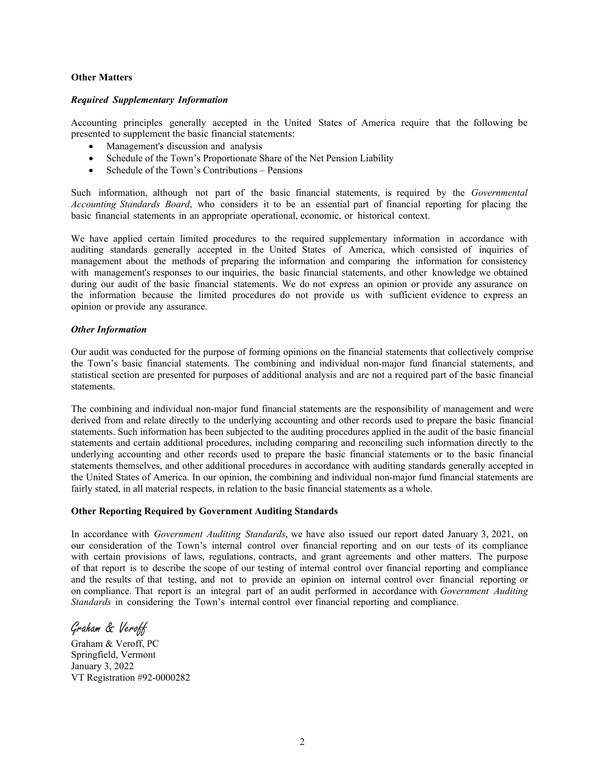#### **Other Matters**

#### *Required Supplementary Information*

Accounting principles generally accepted in the United States of America require that the following be presented to supplement the basic financial statements:

- Management's discussion and analysis
- Schedule of the Town's Proportionate Share of the Net Pension Liability
- Schedule of the Town's Contributions Pensions

Such information, although not part of the basic financial statements, is required by the *Governmental Accounting Standards Board*, who considers it to be an essential part of financial reporting for placing the basic financial statements in an appropriate operational, economic, or historical context.

We have applied certain limited procedures to the required supplementary information in accordance with auditing standards generally accepted in the United States of America, which consisted of inquiries of management about the methods of preparing the information and comparing the information for consistency with management's responses to our inquiries, the basic financial statements, and other knowledge we obtained during our audit of the basic financial statements. We do not express an opinion or provide any assurance on the information because the limited procedures do not provide us with sufficient evidence to express an opinion or provide any assurance.

#### *Other Information*

Our audit was conducted for the purpose of forming opinions on the financial statements that collectively comprise the Town's basic financial statements. The combining and individual non-major fund financial statements, and statistical section are presented for purposes of additional analysis and are not a required part of the basic financial statements.

The combining and individual non-major fund financial statements are the responsibility of management and were derived from and relate directly to the underlying accounting and other records used to prepare the basic financial statements. Such information has been subjected to the auditing procedures applied in the audit of the basic financial statements and certain additional procedures, including comparing and reconciling such information directly to the underlying accounting and other records used to prepare the basic financial statements or to the basic financial statements themselves, and other additional procedures in accordance with auditing standards generally accepted in the United States of America. In our opinion, the combining and individual non-major fund financial statements are fairly stated, in all material respects, in relation to the basic financial statements as a whole.

#### **Other Reporting Required by Government Auditing Standards**

In accordance with *Government Auditing Standards*, we have also issued our report dated January 3, 2021, on our consideration of the Town's internal control over financial reporting and on our tests of its compliance with certain provisions of laws, regulations, contracts, and grant agreements and other matters. The purpose of that report is to describe the scope of our testing of internal control over financial reporting and compliance and the results of that testing, and not to provide an opinion on internal control over financial reporting or on compliance. That report is an integral part of an audit performed in accordance with *Government Auditing Standards* in considering the Town's internal control over financial reporting and compliance.

Graham & Veroff

Graham & Veroff, PC Springfield, Vermont January 3, 2022 VT Registration #92-0000282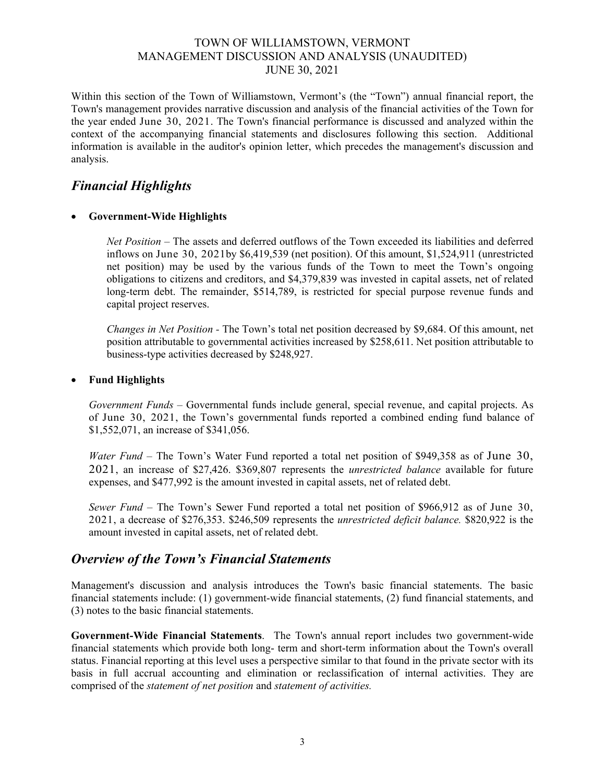Within this section of the Town of Williamstown, Vermont's (the "Town") annual financial report, the Town's management provides narrative discussion and analysis of the financial activities of the Town for the year ended June 30, 2021. The Town's financial performance is discussed and analyzed within the context of the accompanying financial statements and disclosures following this section. Additional information is available in the auditor's opinion letter, which precedes the management's discussion and analysis.

# *Financial Highlights*

### **Government-Wide Highlights**

*Net Position –* The assets and deferred outflows of the Town exceeded its liabilities and deferred inflows on June 30, 2021by \$6,419,539 (net position). Of this amount, \$1,524,911 (unrestricted net position) may be used by the various funds of the Town to meet the Town's ongoing obligations to citizens and creditors, and \$4,379,839 was invested in capital assets, net of related long-term debt. The remainder, \$514,789, is restricted for special purpose revenue funds and capital project reserves.

*Changes in Net Position -* The Town's total net position decreased by \$9,684. Of this amount, net position attributable to governmental activities increased by \$258,611. Net position attributable to business-type activities decreased by \$248,927.

### **Fund Highlights**

*Government Funds* – Governmental funds include general, special revenue, and capital projects. As of June 30, 2021, the Town's governmental funds reported a combined ending fund balance of \$1,552,071, an increase of \$341,056.

*Water Fund - The Town's Water Fund reported a total net position of \$949,358 as of June 30,* 2021, an increase of \$27,426. \$369,807 represents the *unrestricted balance* available for future expenses, and \$477,992 is the amount invested in capital assets, net of related debt.

*Sewer Fund* – The Town's Sewer Fund reported a total net position of \$966,912 as of June 30, 2021, a decrease of \$276,353. \$246,509 represents the *unrestricted deficit balance.* \$820,922 is the amount invested in capital assets, net of related debt.

# *Overview of the Town's Financial Statements*

Management's discussion and analysis introduces the Town's basic financial statements. The basic financial statements include: (1) government-wide financial statements, (2) fund financial statements, and (3) notes to the basic financial statements.

**Government-Wide Financial Statements**. The Town's annual report includes two government-wide financial statements which provide both long- term and short-term information about the Town's overall status. Financial reporting at this level uses a perspective similar to that found in the private sector with its basis in full accrual accounting and elimination or reclassification of internal activities. They are comprised of the *statement of net position* and *statement of activities.*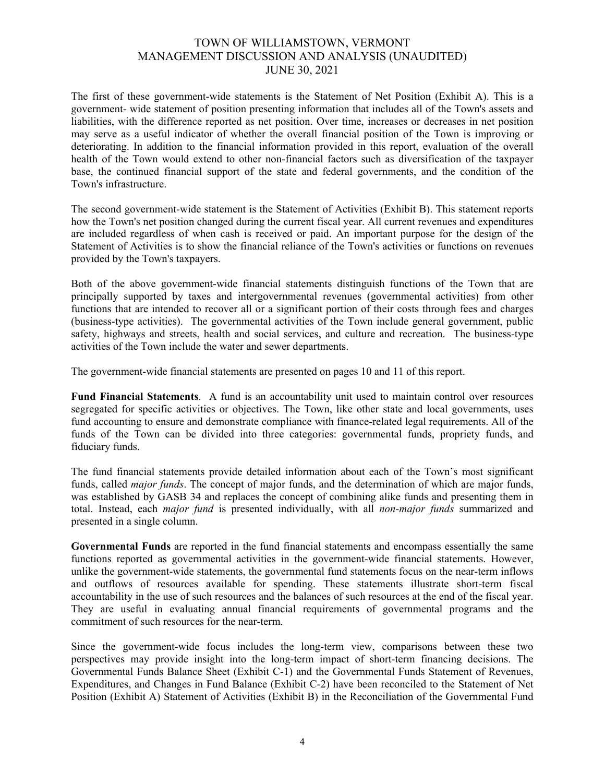The first of these government-wide statements is the Statement of Net Position (Exhibit A). This is a government- wide statement of position presenting information that includes all of the Town's assets and liabilities, with the difference reported as net position. Over time, increases or decreases in net position may serve as a useful indicator of whether the overall financial position of the Town is improving or deteriorating. In addition to the financial information provided in this report, evaluation of the overall health of the Town would extend to other non-financial factors such as diversification of the taxpayer base, the continued financial support of the state and federal governments, and the condition of the Town's infrastructure.

The second government-wide statement is the Statement of Activities (Exhibit B). This statement reports how the Town's net position changed during the current fiscal year. All current revenues and expenditures are included regardless of when cash is received or paid. An important purpose for the design of the Statement of Activities is to show the financial reliance of the Town's activities or functions on revenues provided by the Town's taxpayers.

Both of the above government-wide financial statements distinguish functions of the Town that are principally supported by taxes and intergovernmental revenues (governmental activities) from other functions that are intended to recover all or a significant portion of their costs through fees and charges (business-type activities). The governmental activities of the Town include general government, public safety, highways and streets, health and social services, and culture and recreation. The business-type activities of the Town include the water and sewer departments.

The government-wide financial statements are presented on pages 10 and 11 of this report.

**Fund Financial Statements**. A fund is an accountability unit used to maintain control over resources segregated for specific activities or objectives. The Town, like other state and local governments, uses fund accounting to ensure and demonstrate compliance with finance-related legal requirements. All of the funds of the Town can be divided into three categories: governmental funds, propriety funds, and fiduciary funds.

The fund financial statements provide detailed information about each of the Town's most significant funds, called *major funds*. The concept of major funds, and the determination of which are major funds, was established by GASB 34 and replaces the concept of combining alike funds and presenting them in total. Instead, each *major fund* is presented individually, with all *non-major funds* summarized and presented in a single column.

**Governmental Funds** are reported in the fund financial statements and encompass essentially the same functions reported as governmental activities in the government-wide financial statements. However, unlike the government-wide statements, the governmental fund statements focus on the near-term inflows and outflows of resources available for spending. These statements illustrate short-term fiscal accountability in the use of such resources and the balances of such resources at the end of the fiscal year. They are useful in evaluating annual financial requirements of governmental programs and the commitment of such resources for the near-term.

Since the government-wide focus includes the long-term view, comparisons between these two perspectives may provide insight into the long-term impact of short-term financing decisions. The Governmental Funds Balance Sheet (Exhibit C-1) and the Governmental Funds Statement of Revenues, Expenditures, and Changes in Fund Balance (Exhibit C-2) have been reconciled to the Statement of Net Position (Exhibit A) Statement of Activities (Exhibit B) in the Reconciliation of the Governmental Fund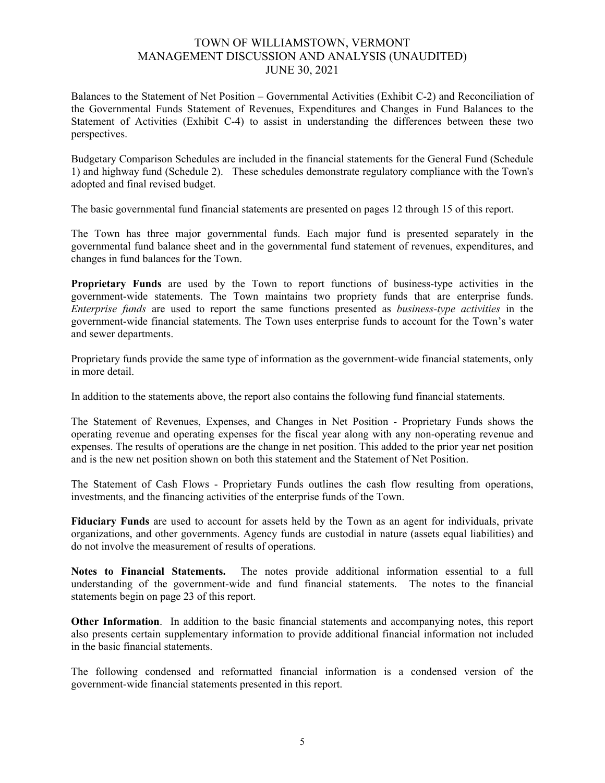Balances to the Statement of Net Position – Governmental Activities (Exhibit C-2) and Reconciliation of the Governmental Funds Statement of Revenues, Expenditures and Changes in Fund Balances to the Statement of Activities (Exhibit C-4) to assist in understanding the differences between these two perspectives.

Budgetary Comparison Schedules are included in the financial statements for the General Fund (Schedule 1) and highway fund (Schedule 2). These schedules demonstrate regulatory compliance with the Town's adopted and final revised budget.

The basic governmental fund financial statements are presented on pages 12 through 15 of this report.

The Town has three major governmental funds. Each major fund is presented separately in the governmental fund balance sheet and in the governmental fund statement of revenues, expenditures, and changes in fund balances for the Town.

**Proprietary Funds** are used by the Town to report functions of business-type activities in the government-wide statements. The Town maintains two propriety funds that are enterprise funds. *Enterprise funds* are used to report the same functions presented as *business-type activities* in the government-wide financial statements. The Town uses enterprise funds to account for the Town's water and sewer departments.

Proprietary funds provide the same type of information as the government-wide financial statements, only in more detail.

In addition to the statements above, the report also contains the following fund financial statements.

The Statement of Revenues, Expenses, and Changes in Net Position - Proprietary Funds shows the operating revenue and operating expenses for the fiscal year along with any non-operating revenue and expenses. The results of operations are the change in net position. This added to the prior year net position and is the new net position shown on both this statement and the Statement of Net Position.

The Statement of Cash Flows - Proprietary Funds outlines the cash flow resulting from operations, investments, and the financing activities of the enterprise funds of the Town.

**Fiduciary Funds** are used to account for assets held by the Town as an agent for individuals, private organizations, and other governments. Agency funds are custodial in nature (assets equal liabilities) and do not involve the measurement of results of operations.

**Notes to Financial Statements.** The notes provide additional information essential to a full understanding of the government-wide and fund financial statements. The notes to the financial statements begin on page 23 of this report.

**Other Information**. In addition to the basic financial statements and accompanying notes, this report also presents certain supplementary information to provide additional financial information not included in the basic financial statements.

The following condensed and reformatted financial information is a condensed version of the government-wide financial statements presented in this report.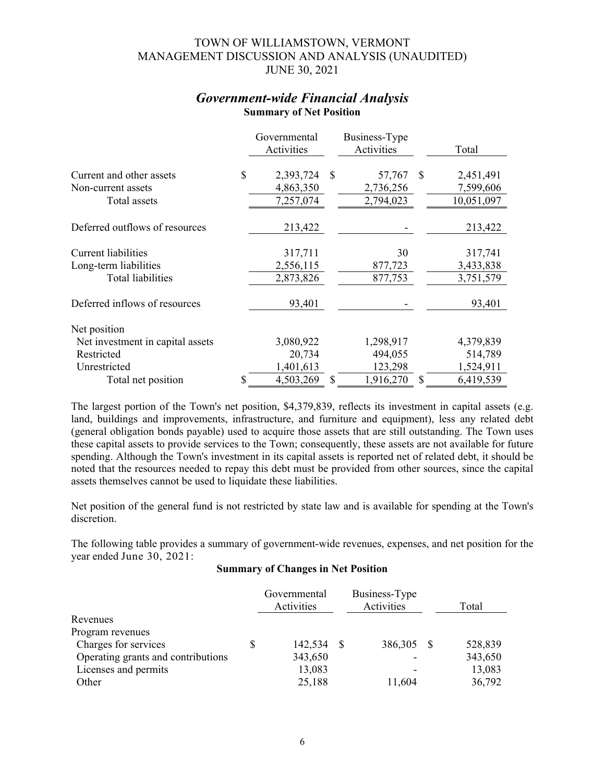|                                  |    | Governmental<br>Activities |   | Business-Type<br>Activities |      | Total      |
|----------------------------------|----|----------------------------|---|-----------------------------|------|------------|
| Current and other assets         | S  | 2,393,724                  | S | 57,767                      | - \$ | 2,451,491  |
| Non-current assets               |    | 4,863,350                  |   | 2,736,256                   |      | 7,599,606  |
| Total assets                     |    | 7,257,074                  |   | 2,794,023                   |      | 10,051,097 |
|                                  |    |                            |   |                             |      |            |
| Deferred outflows of resources   |    | 213,422                    |   |                             |      | 213,422    |
| <b>Current liabilities</b>       |    | 317,711                    |   | 30                          |      | 317,741    |
| Long-term liabilities            |    | 2,556,115                  |   | 877,723                     |      | 3,433,838  |
| <b>Total liabilities</b>         |    | 2,873,826                  |   | 877,753                     |      | 3,751,579  |
| Deferred inflows of resources    |    | 93,401                     |   |                             |      | 93,401     |
| Net position                     |    |                            |   |                             |      |            |
| Net investment in capital assets |    | 3,080,922                  |   | 1,298,917                   |      | 4,379,839  |
| Restricted                       |    | 20,734                     |   | 494,055                     |      | 514,789    |
| Unrestricted                     |    | 1,401,613                  |   | 123,298                     |      | 1,524,911  |
| Total net position               | \$ | 4,503,269                  | S | 1,916,270                   | \$   | 6,419,539  |

### *Government-wide Financial Analysis*  **Summary of Net Position**

The largest portion of the Town's net position, \$4,379,839, reflects its investment in capital assets (e.g. land, buildings and improvements, infrastructure, and furniture and equipment), less any related debt (general obligation bonds payable) used to acquire those assets that are still outstanding. The Town uses these capital assets to provide services to the Town; consequently, these assets are not available for future spending. Although the Town's investment in its capital assets is reported net of related debt, it should be noted that the resources needed to repay this debt must be provided from other sources, since the capital assets themselves cannot be used to liquidate these liabilities.

Net position of the general fund is not restricted by state law and is available for spending at the Town's discretion.

The following table provides a summary of government-wide revenues, expenses, and net position for the year ended June 30, 2021:

#### **Summary of Changes in Net Position**

|                                    |  | Governmental<br>Activities | Business-Type<br>Activities | Total   |
|------------------------------------|--|----------------------------|-----------------------------|---------|
| Revenues                           |  |                            |                             |         |
| Program revenues                   |  |                            |                             |         |
| Charges for services               |  | 142,534 \$                 | 386,305 \$                  | 528,839 |
| Operating grants and contributions |  | 343,650                    |                             | 343,650 |
| Licenses and permits               |  | 13,083                     |                             | 13,083  |
| Other                              |  | 25,188                     | 11,604                      | 36,792  |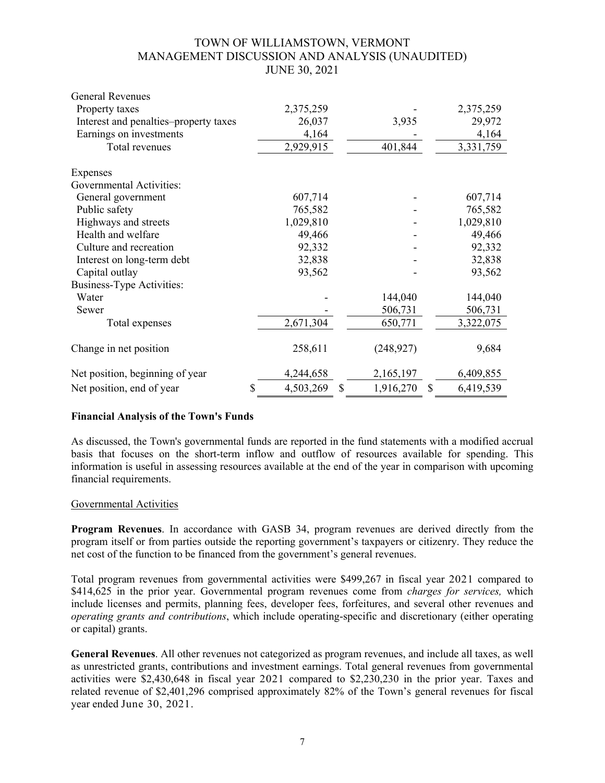| <b>General Revenues</b>               |                 |               |            |                 |
|---------------------------------------|-----------------|---------------|------------|-----------------|
| Property taxes                        | 2,375,259       |               |            | 2,375,259       |
| Interest and penalties-property taxes | 26,037          |               | 3,935      | 29,972          |
| Earnings on investments               | 4,164           |               |            | 4,164           |
| Total revenues                        | 2,929,915       |               | 401,844    | 3,331,759       |
| Expenses                              |                 |               |            |                 |
| <b>Governmental Activities:</b>       |                 |               |            |                 |
| General government                    | 607,714         |               |            | 607,714         |
| Public safety                         | 765,582         |               |            | 765,582         |
| Highways and streets                  | 1,029,810       |               |            | 1,029,810       |
| Health and welfare                    | 49,466          |               |            | 49,466          |
| Culture and recreation                | 92,332          |               |            | 92,332          |
| Interest on long-term debt            | 32,838          |               |            | 32,838          |
| Capital outlay                        | 93,562          |               |            | 93,562          |
| Business-Type Activities:             |                 |               |            |                 |
| Water                                 |                 |               | 144,040    | 144,040         |
| Sewer                                 |                 |               | 506,731    | 506,731         |
| Total expenses                        | 2,671,304       |               | 650,771    | 3,322,075       |
| Change in net position                | 258,611         |               | (248, 927) | 9,684           |
| Net position, beginning of year       | 4,244,658       |               | 2,165,197  | 6,409,855       |
| Net position, end of year             | \$<br>4,503,269 | $\mathcal{S}$ | 1,916,270  | \$<br>6,419,539 |

### **Financial Analysis of the Town's Funds**

As discussed, the Town's governmental funds are reported in the fund statements with a modified accrual basis that focuses on the short-term inflow and outflow of resources available for spending. This information is useful in assessing resources available at the end of the year in comparison with upcoming financial requirements.

### Governmental Activities

**Program Revenues**. In accordance with GASB 34, program revenues are derived directly from the program itself or from parties outside the reporting government's taxpayers or citizenry. They reduce the net cost of the function to be financed from the government's general revenues.

Total program revenues from governmental activities were \$499,267 in fiscal year 2021 compared to \$414,625 in the prior year. Governmental program revenues come from *charges for services,* which include licenses and permits, planning fees, developer fees, forfeitures, and several other revenues and *operating grants and contributions*, which include operating-specific and discretionary (either operating or capital) grants.

**General Revenues**. All other revenues not categorized as program revenues, and include all taxes, as well as unrestricted grants, contributions and investment earnings. Total general revenues from governmental activities were \$2,430,648 in fiscal year 2021 compared to \$2,230,230 in the prior year. Taxes and related revenue of \$2,401,296 comprised approximately 82% of the Town's general revenues for fiscal year ended June 30, 2021.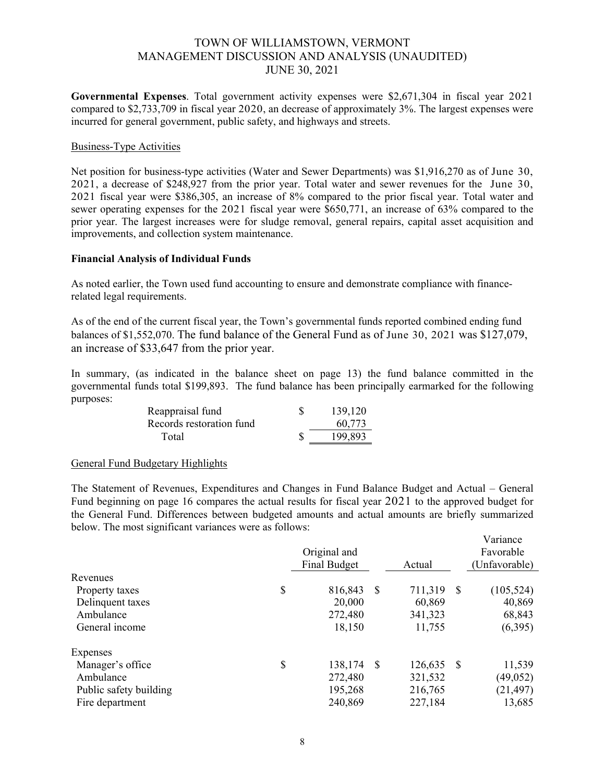**Governmental Expenses**. Total government activity expenses were \$2,671,304 in fiscal year 2021 compared to \$2,733,709 in fiscal year 2020, an decrease of approximately 3%. The largest expenses were incurred for general government, public safety, and highways and streets.

### Business-Type Activities

Net position for business-type activities (Water and Sewer Departments) was \$1,916,270 as of June 30, 2021, a decrease of \$248,927 from the prior year. Total water and sewer revenues for the June 30, 2021 fiscal year were \$386,305, an increase of 8% compared to the prior fiscal year. Total water and sewer operating expenses for the 2021 fiscal year were \$650,771, an increase of 63% compared to the prior year. The largest increases were for sludge removal, general repairs, capital asset acquisition and improvements, and collection system maintenance.

#### **Financial Analysis of Individual Funds**

As noted earlier, the Town used fund accounting to ensure and demonstrate compliance with financerelated legal requirements.

As of the end of the current fiscal year, the Town's governmental funds reported combined ending fund balances of \$1,552,070. The fund balance of the General Fund as of June 30, 2021 was \$127,079, an increase of \$33,647 from the prior year.

In summary, (as indicated in the balance sheet on page 13) the fund balance committed in the governmental funds total \$199,893. The fund balance has been principally earmarked for the following purposes:

| Reappraisal fund         | \$. | 139,120 |
|--------------------------|-----|---------|
| Records restoration fund |     | 60,773  |
| Total                    |     | 199,893 |

### General Fund Budgetary Highlights

The Statement of Revenues, Expenditures and Changes in Fund Balance Budget and Actual – General Fund beginning on page 16 compares the actual results for fiscal year 2021 to the approved budget for the General Fund. Differences between budgeted amounts and actual amounts are briefly summarized below. The most significant variances were as follows:

|                        | Original and<br>Final Budget |      | Actual  |               | Variance<br>Favorable<br>(Unfavorable) |
|------------------------|------------------------------|------|---------|---------------|----------------------------------------|
| Revenues               |                              |      |         |               |                                        |
| Property taxes         | \$<br>816,843                | S    | 711,319 | <sup>\$</sup> | (105, 524)                             |
| Delinquent taxes       | 20,000                       |      | 60,869  |               | 40,869                                 |
| Ambulance              | 272,480                      |      | 341,323 |               | 68,843                                 |
| General income         | 18,150                       |      | 11,755  |               | (6,395)                                |
| Expenses               |                              |      |         |               |                                        |
| Manager's office       | \$<br>138,174                | - \$ | 126,635 | - \$          | 11,539                                 |
| Ambulance              | 272,480                      |      | 321,532 |               | (49, 052)                              |
| Public safety building | 195,268                      |      | 216,765 |               | (21, 497)                              |
| Fire department        | 240,869                      |      | 227,184 |               | 13,685                                 |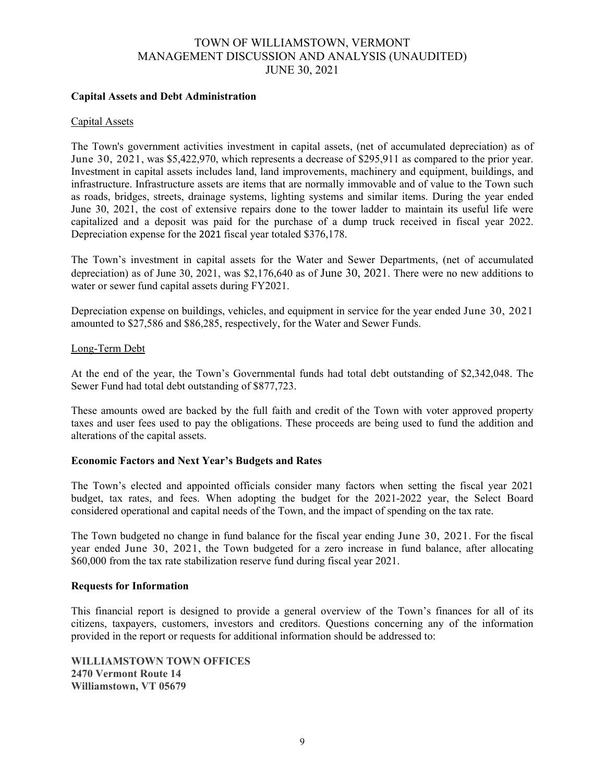#### **Capital Assets and Debt Administration**

#### Capital Assets

The Town's government activities investment in capital assets, (net of accumulated depreciation) as of June 30, 2021, was \$5,422,970, which represents a decrease of \$295,911 as compared to the prior year. Investment in capital assets includes land, land improvements, machinery and equipment, buildings, and infrastructure. Infrastructure assets are items that are normally immovable and of value to the Town such as roads, bridges, streets, drainage systems, lighting systems and similar items. During the year ended June 30, 2021, the cost of extensive repairs done to the tower ladder to maintain its useful life were capitalized and a deposit was paid for the purchase of a dump truck received in fiscal year 2022. Depreciation expense for the 2021 fiscal year totaled \$376,178.

The Town's investment in capital assets for the Water and Sewer Departments, (net of accumulated depreciation) as of June 30, 2021, was \$2,176,640 as of June 30, 2021. There were no new additions to water or sewer fund capital assets during FY2021.

Depreciation expense on buildings, vehicles, and equipment in service for the year ended June 30, 2021 amounted to \$27,586 and \$86,285, respectively, for the Water and Sewer Funds.

#### Long-Term Debt

At the end of the year, the Town's Governmental funds had total debt outstanding of \$2,342,048. The Sewer Fund had total debt outstanding of \$877,723.

These amounts owed are backed by the full faith and credit of the Town with voter approved property taxes and user fees used to pay the obligations. These proceeds are being used to fund the addition and alterations of the capital assets.

#### **Economic Factors and Next Year's Budgets and Rates**

The Town's elected and appointed officials consider many factors when setting the fiscal year 2021 budget, tax rates, and fees. When adopting the budget for the 2021-2022 year, the Select Board considered operational and capital needs of the Town, and the impact of spending on the tax rate.

The Town budgeted no change in fund balance for the fiscal year ending June 30, 2021. For the fiscal year ended June 30, 2021, the Town budgeted for a zero increase in fund balance, after allocating \$60,000 from the tax rate stabilization reserve fund during fiscal year 2021.

#### **Requests for Information**

This financial report is designed to provide a general overview of the Town's finances for all of its citizens, taxpayers, customers, investors and creditors. Questions concerning any of the information provided in the report or requests for additional information should be addressed to:

**WILLIAMSTOWN TOWN OFFICES 2470 Vermont Route 14 Williamstown, VT 05679**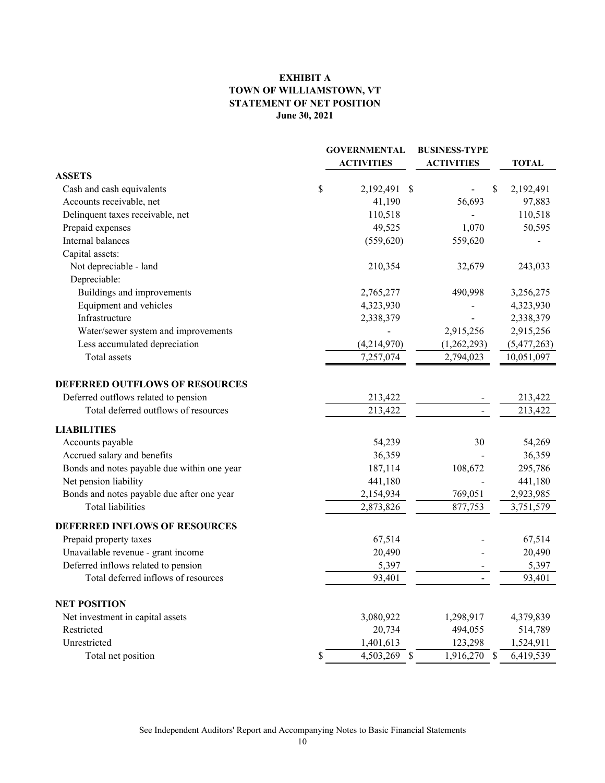### **TOWN OF WILLIAMSTOWN, VT STATEMENT OF NET POSITION June 30, 2021 EXHIBIT A**

|                                             | <b>GOVERNMENTAL</b><br><b>ACTIVITIES</b> | <b>BUSINESS-TYPE</b><br><b>ACTIVITIES</b> | <b>TOTAL</b> |
|---------------------------------------------|------------------------------------------|-------------------------------------------|--------------|
| <b>ASSETS</b>                               |                                          |                                           |              |
| Cash and cash equivalents                   | \$<br>2,192,491 \$                       | \$                                        | 2,192,491    |
| Accounts receivable, net                    | 41,190                                   | 56,693                                    | 97,883       |
| Delinquent taxes receivable, net            | 110,518                                  |                                           | 110,518      |
| Prepaid expenses                            | 49,525                                   | 1,070                                     | 50,595       |
| Internal balances                           | (559, 620)                               | 559,620                                   |              |
| Capital assets:                             |                                          |                                           |              |
| Not depreciable - land                      | 210,354                                  | 32,679                                    | 243,033      |
| Depreciable:                                |                                          |                                           |              |
| Buildings and improvements                  | 2,765,277                                | 490,998                                   | 3,256,275    |
| Equipment and vehicles                      | 4,323,930                                |                                           | 4,323,930    |
| Infrastructure                              | 2,338,379                                |                                           | 2,338,379    |
| Water/sewer system and improvements         |                                          | 2,915,256                                 | 2,915,256    |
| Less accumulated depreciation               | (4,214,970)                              | (1,262,293)                               | (5,477,263)  |
| Total assets                                | 7,257,074                                | 2,794,023                                 | 10,051,097   |
| DEFERRED OUTFLOWS OF RESOURCES              |                                          |                                           |              |
| Deferred outflows related to pension        | 213,422                                  |                                           | 213,422      |
| Total deferred outflows of resources        | 213,422                                  | $\blacksquare$                            | 213,422      |
| <b>LIABILITIES</b>                          |                                          |                                           |              |
| Accounts payable                            | 54,239                                   | 30                                        | 54,269       |
| Accrued salary and benefits                 | 36,359                                   |                                           | 36,359       |
| Bonds and notes payable due within one year | 187,114                                  | 108,672                                   | 295,786      |
| Net pension liability                       | 441,180                                  |                                           | 441,180      |
| Bonds and notes payable due after one year  | 2,154,934                                | 769,051                                   | 2,923,985    |
| <b>Total liabilities</b>                    | 2,873,826                                | 877,753                                   | 3,751,579    |
| <b>DEFERRED INFLOWS OF RESOURCES</b>        |                                          |                                           |              |
| Prepaid property taxes                      | 67,514                                   |                                           | 67,514       |
| Unavailable revenue - grant income          | 20,490                                   |                                           | 20,490       |
| Deferred inflows related to pension         | 5,397                                    |                                           | 5,397        |
| Total deferred inflows of resources         | 93,401                                   |                                           | 93,401       |
| <b>NET POSITION</b>                         |                                          |                                           |              |
| Net investment in capital assets            | 3,080,922                                | 1,298,917                                 | 4,379,839    |
| Restricted                                  | 20,734                                   | 494,055                                   | 514,789      |
| Unrestricted                                | 1,401,613                                | 123,298                                   | 1,524,911    |
| Total net position                          | \$<br>4,503,269<br>$\mathcal{S}$         | 1,916,270<br>$\mathcal{S}$                | 6,419,539    |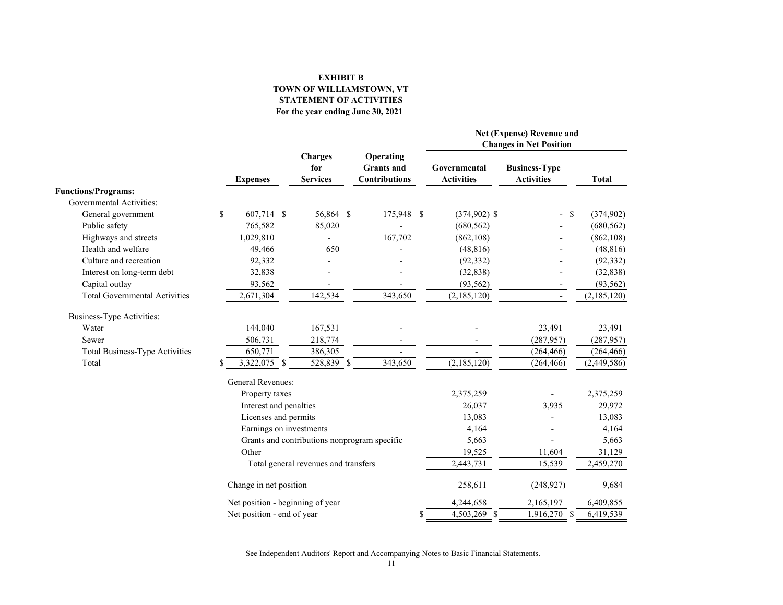#### **EXHIBIT B TOWN OF WILLIAMSTOWN, VT STATEMENT OF ACTIVITIESFor the year ending June 30, 2021**

|                                      |                            |                                              |                                                        |   |                                   | <b>Net (Expense) Revenue and</b><br><b>Changes in Net Position</b> |              |
|--------------------------------------|----------------------------|----------------------------------------------|--------------------------------------------------------|---|-----------------------------------|--------------------------------------------------------------------|--------------|
|                                      | <b>Expenses</b>            | <b>Charges</b><br>for<br><b>Services</b>     | Operating<br><b>Grants</b> and<br><b>Contributions</b> |   | Governmental<br><b>Activities</b> | <b>Business-Type</b><br><b>Activities</b>                          | <b>Total</b> |
| <b>Functions/Programs:</b>           |                            |                                              |                                                        |   |                                   |                                                                    |              |
| Governmental Activities:             |                            |                                              |                                                        |   |                                   |                                                                    |              |
| General government                   | \$<br>607,714 \$           | 56,864 \$                                    | 175,948 \$                                             |   | $(374,902)$ \$                    | $-$ \$                                                             | (374,902)    |
| Public safety                        | 765,582                    | 85,020                                       |                                                        |   | (680, 562)                        |                                                                    | (680, 562)   |
| Highways and streets                 | 1,029,810                  | $\overline{\phantom{0}}$                     | 167,702                                                |   | (862, 108)                        |                                                                    | (862, 108)   |
| Health and welfare                   | 49,466                     | 650                                          |                                                        |   | (48, 816)                         |                                                                    | (48, 816)    |
| Culture and recreation               | 92,332                     |                                              |                                                        |   | (92, 332)                         |                                                                    | (92, 332)    |
| Interest on long-term debt           | 32,838                     |                                              |                                                        |   | (32, 838)                         |                                                                    | (32, 838)    |
| Capital outlay                       | 93,562                     |                                              |                                                        |   | (93, 562)                         |                                                                    | (93, 562)    |
| <b>Total Governmental Activities</b> | 2,671,304                  | 142,534                                      | 343,650                                                |   | (2,185,120)                       | $\sim$                                                             | (2,185,120)  |
| Business-Type Activities:            |                            |                                              |                                                        |   |                                   |                                                                    |              |
| Water                                | 144,040                    | 167,531                                      |                                                        |   |                                   | 23,491                                                             | 23,491       |
| Sewer                                | 506,731                    | 218,774                                      |                                                        |   |                                   | (287,957)                                                          | (287, 957)   |
| Total Business-Type Activities       | 650,771                    | 386,305                                      |                                                        |   |                                   | (264, 466)                                                         | (264, 466)   |
| Total                                | 3,322,075 \$               | 528,839 \$                                   | 343,650                                                |   | (2,185,120)                       | (264, 466)                                                         | (2,449,586)  |
|                                      | <b>General Revenues:</b>   |                                              |                                                        |   |                                   |                                                                    |              |
|                                      | Property taxes             |                                              |                                                        |   | 2,375,259                         | $\overline{\phantom{a}}$                                           | 2,375,259    |
|                                      | Interest and penalties     |                                              |                                                        |   | 26,037                            | 3,935                                                              | 29,972       |
|                                      | Licenses and permits       |                                              |                                                        |   | 13,083                            |                                                                    | 13,083       |
|                                      | Earnings on investments    |                                              |                                                        |   | 4,164                             |                                                                    | 4,164        |
|                                      |                            | Grants and contributions nonprogram specific |                                                        |   | 5,663                             |                                                                    | 5,663        |
|                                      | Other                      |                                              |                                                        |   | 19,525                            | 11,604                                                             | 31,129       |
|                                      |                            | Total general revenues and transfers         |                                                        |   | 2,443,731                         | 15,539                                                             | 2,459,270    |
|                                      | Change in net position     |                                              |                                                        |   | 258,611                           | (248, 927)                                                         | 9,684        |
|                                      |                            | Net position - beginning of year             |                                                        |   | 4,244,658                         | 2,165,197                                                          | 6,409,855    |
|                                      | Net position - end of year |                                              |                                                        | S | 4,503,269 \$                      | 1,916,270 \$                                                       | 6,419,539    |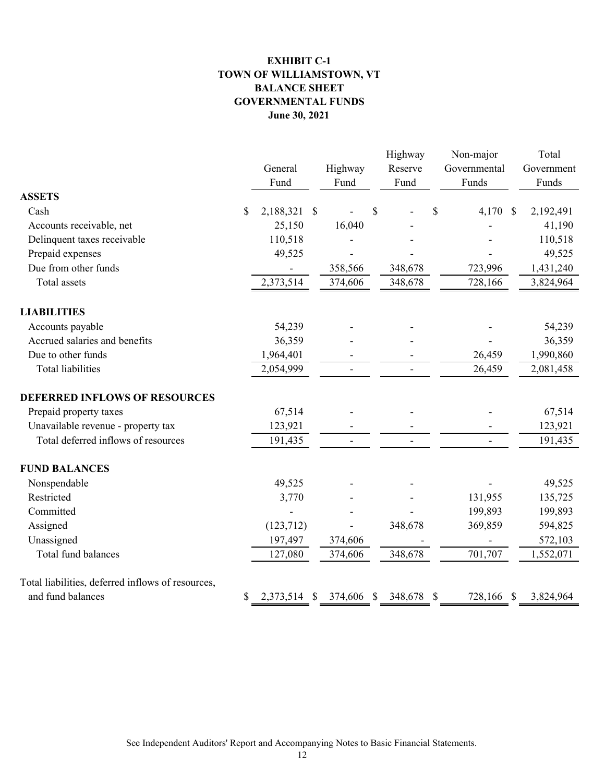# **EXHIBIT C-1 TOWN OF WILLIAMSTOWN, VT BALANCE SHEET GOVERNMENTAL FUNDS June 30, 2021**

|                                                   | General         |               | Highway |               | Highway<br>Reserve |    | Non-major<br>Governmental | Total<br>Government |
|---------------------------------------------------|-----------------|---------------|---------|---------------|--------------------|----|---------------------------|---------------------|
|                                                   | Fund            |               | Fund    |               | Fund               |    | Funds                     | Funds               |
| <b>ASSETS</b>                                     |                 |               |         |               |                    |    |                           |                     |
| Cash                                              | \$<br>2,188,321 | $\mathcal{S}$ |         | \$            |                    | \$ | $4,170$ \$                | 2,192,491           |
| Accounts receivable, net                          | 25,150          |               | 16,040  |               |                    |    |                           | 41,190              |
| Delinquent taxes receivable                       | 110,518         |               |         |               |                    |    |                           | 110,518             |
| Prepaid expenses                                  | 49,525          |               |         |               |                    |    |                           | 49,525              |
| Due from other funds                              |                 |               | 358,566 |               | 348,678            |    | 723,996                   | 1,431,240           |
| Total assets                                      | 2,373,514       |               | 374,606 |               | 348,678            |    | 728,166                   | 3,824,964           |
| <b>LIABILITIES</b>                                |                 |               |         |               |                    |    |                           |                     |
| Accounts payable                                  | 54,239          |               |         |               |                    |    |                           | 54,239              |
| Accrued salaries and benefits                     | 36,359          |               |         |               |                    |    |                           | 36,359              |
| Due to other funds                                | 1,964,401       |               |         |               |                    |    | 26,459                    | 1,990,860           |
| <b>Total liabilities</b>                          | 2,054,999       |               |         |               |                    |    | 26,459                    | 2,081,458           |
| DEFERRED INFLOWS OF RESOURCES                     |                 |               |         |               |                    |    |                           |                     |
| Prepaid property taxes                            | 67,514          |               |         |               |                    |    |                           | 67,514              |
| Unavailable revenue - property tax                | 123,921         |               |         |               |                    |    |                           | 123,921             |
| Total deferred inflows of resources               | 191,435         |               |         |               |                    |    |                           | 191,435             |
| <b>FUND BALANCES</b>                              |                 |               |         |               |                    |    |                           |                     |
| Nonspendable                                      | 49,525          |               |         |               |                    |    |                           | 49,525              |
| Restricted                                        | 3,770           |               |         |               |                    |    | 131,955                   | 135,725             |
| Committed                                         |                 |               |         |               |                    |    | 199,893                   | 199,893             |
| Assigned                                          | (123, 712)      |               |         |               | 348,678            |    | 369,859                   | 594,825             |
| Unassigned                                        | 197,497         |               | 374,606 |               |                    |    |                           | 572,103             |
| Total fund balances                               | 127,080         |               | 374,606 |               | 348,678            |    | 701,707                   | 1,552,071           |
| Total liabilities, deferred inflows of resources, |                 |               |         |               |                    |    |                           |                     |
| and fund balances                                 | \$<br>2,373,514 | $\mathbb{S}$  | 374,606 | $\mathcal{S}$ | 348,678            | S  | 728,166 \$                | 3,824,964           |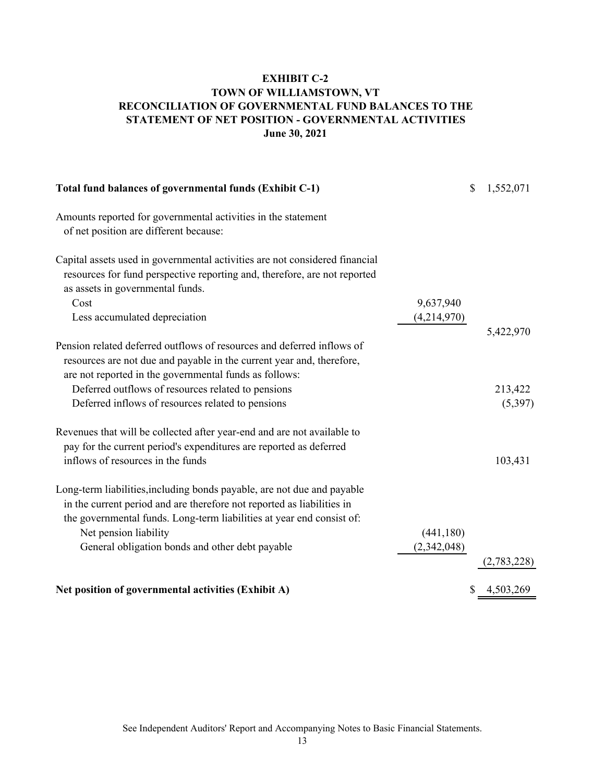## **TOWN OF WILLIAMSTOWN, VT RECONCILIATION OF GOVERNMENTAL FUND BALANCES TO THE STATEMENT OF NET POSITION - GOVERNMENTAL ACTIVITIES June 30, 2021 EXHIBIT C-2**

| Total fund balances of governmental funds (Exhibit C-1)                                                                                                                                                                    | \$<br>1,552,071 |
|----------------------------------------------------------------------------------------------------------------------------------------------------------------------------------------------------------------------------|-----------------|
| Amounts reported for governmental activities in the statement<br>of net position are different because:                                                                                                                    |                 |
| Capital assets used in governmental activities are not considered financial<br>resources for fund perspective reporting and, therefore, are not reported<br>as assets in governmental funds.                               |                 |
| 9,637,940<br>Cost                                                                                                                                                                                                          |                 |
| Less accumulated depreciation<br>(4,214,970)                                                                                                                                                                               |                 |
|                                                                                                                                                                                                                            | 5,422,970       |
| Pension related deferred outflows of resources and deferred inflows of<br>resources are not due and payable in the current year and, therefore,<br>are not reported in the governmental funds as follows:                  |                 |
| Deferred outflows of resources related to pensions                                                                                                                                                                         | 213,422         |
| Deferred inflows of resources related to pensions                                                                                                                                                                          | (5,397)         |
| Revenues that will be collected after year-end and are not available to<br>pay for the current period's expenditures are reported as deferred                                                                              |                 |
| inflows of resources in the funds                                                                                                                                                                                          | 103,431         |
| Long-term liabilities, including bonds payable, are not due and payable<br>in the current period and are therefore not reported as liabilities in<br>the governmental funds. Long-term liabilities at year end consist of: |                 |
| Net pension liability<br>(441, 180)                                                                                                                                                                                        |                 |
| General obligation bonds and other debt payable<br>(2,342,048)                                                                                                                                                             |                 |
|                                                                                                                                                                                                                            | (2,783,228)     |
| Net position of governmental activities (Exhibit A)                                                                                                                                                                        | \$4,503,269     |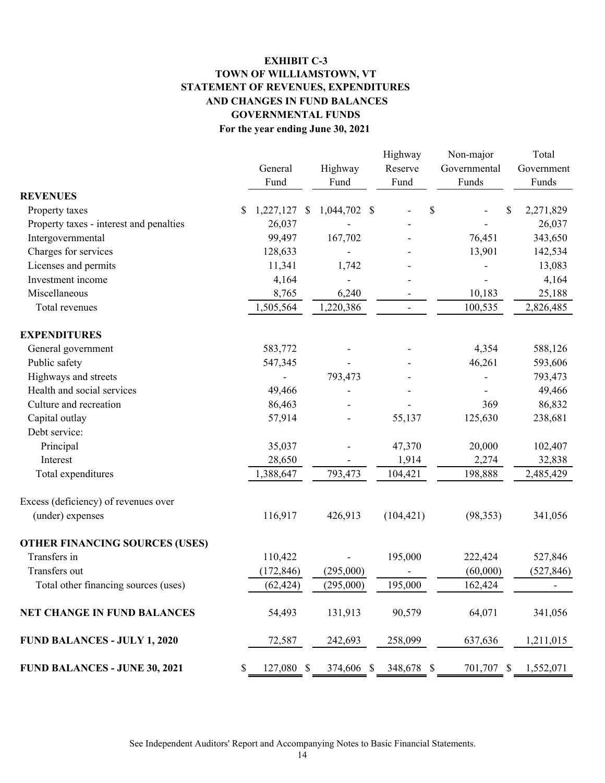### **EXHIBIT C-3 For the year ending June 30, 2021 TOWN OF WILLIAMSTOWN, VT STATEMENT OF REVENUES, EXPENDITURES AND CHANGES IN FUND BALANCES GOVERNMENTAL FUNDS**

|                                         |                  |                    | Highway                  | Non-major    | Total           |
|-----------------------------------------|------------------|--------------------|--------------------------|--------------|-----------------|
|                                         | General          | Highway            | Reserve                  | Governmental | Government      |
|                                         | Fund             | Fund               | Fund                     | Funds        | Funds           |
| <b>REVENUES</b>                         |                  |                    |                          |              |                 |
| Property taxes                          | \$<br>1,227,127  | \$<br>1,044,702 \$ |                          | \$           | \$<br>2,271,829 |
| Property taxes - interest and penalties | 26,037           |                    |                          |              | 26,037          |
| Intergovernmental                       | 99,497           | 167,702            |                          | 76,451       | 343,650         |
| Charges for services                    | 128,633          |                    |                          | 13,901       | 142,534         |
| Licenses and permits                    | 11,341           | 1,742              |                          |              | 13,083          |
| Investment income                       | 4,164            |                    |                          |              | 4,164           |
| Miscellaneous                           | 8,765            | 6,240              | $\overline{\phantom{a}}$ | 10,183       | 25,188          |
| Total revenues                          | 1,505,564        | 1,220,386          |                          | 100,535      | 2,826,485       |
| <b>EXPENDITURES</b>                     |                  |                    |                          |              |                 |
| General government                      | 583,772          |                    |                          | 4,354        | 588,126         |
| Public safety                           | 547,345          |                    |                          | 46,261       | 593,606         |
| Highways and streets                    |                  | 793,473            |                          |              | 793,473         |
| Health and social services              | 49,466           |                    |                          |              | 49,466          |
| Culture and recreation                  | 86,463           |                    |                          | 369          | 86,832          |
| Capital outlay                          | 57,914           |                    | 55,137                   | 125,630      | 238,681         |
| Debt service:                           |                  |                    |                          |              |                 |
| Principal                               | 35,037           |                    | 47,370                   | 20,000       | 102,407         |
| Interest                                | 28,650           |                    | 1,914                    | 2,274        | 32,838          |
| Total expenditures                      | 1,388,647        | 793,473            | 104,421                  | 198,888      | 2,485,429       |
| Excess (deficiency) of revenues over    |                  |                    |                          |              |                 |
| (under) expenses                        | 116,917          | 426,913            | (104, 421)               | (98, 353)    | 341,056         |
| <b>OTHER FINANCING SOURCES (USES)</b>   |                  |                    |                          |              |                 |
| Transfers in                            | 110,422          |                    | 195,000                  | 222,424      | 527,846         |
| Transfers out                           | (172, 846)       | (295,000)          |                          | (60,000)     | (527, 846)      |
| Total other financing sources (uses)    | (62, 424)        | (295,000)          | 195,000                  | 162,424      | ÷,              |
| <b>NET CHANGE IN FUND BALANCES</b>      | 54,493           | 131,913            | 90,579                   | 64,071       | 341,056         |
| <b>FUND BALANCES - JULY 1, 2020</b>     | 72,587           | 242,693            | 258,099                  | 637,636      | 1,211,015       |
| <b>FUND BALANCES - JUNE 30, 2021</b>    | \$<br>127,080 \$ | 374,606 \$         | 348,678 \$               | 701,707 \$   | 1,552,071       |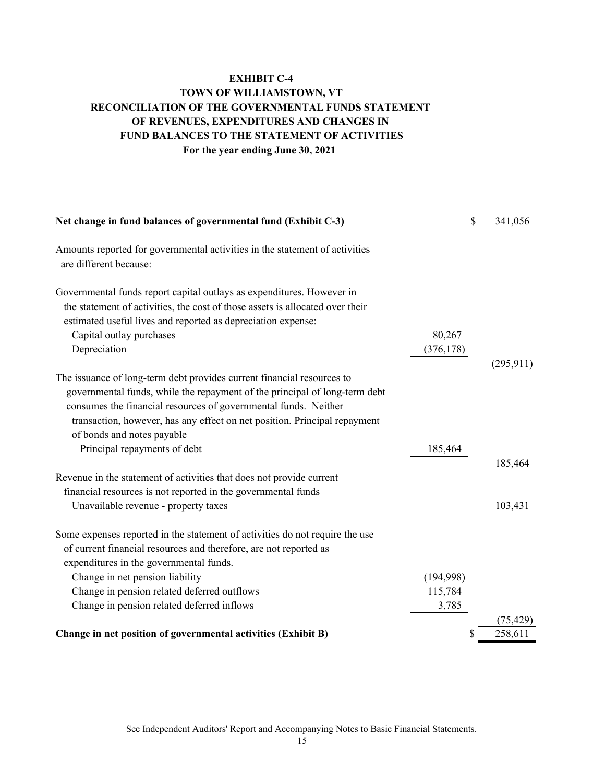# **EXHIBIT C-4 TOWN OF WILLIAMSTOWN, VT RECONCILIATION OF THE GOVERNMENTAL FUNDS STATEMENT OF REVENUES, EXPENDITURES AND CHANGES IN For the year ending June 30, 2021 FUND BALANCES TO THE STATEMENT OF ACTIVITIES**

| Net change in fund balances of governmental fund (Exhibit C-3)                                                                                                                                                         | \$         | 341,056    |
|------------------------------------------------------------------------------------------------------------------------------------------------------------------------------------------------------------------------|------------|------------|
| Amounts reported for governmental activities in the statement of activities<br>are different because:                                                                                                                  |            |            |
| Governmental funds report capital outlays as expenditures. However in<br>the statement of activities, the cost of those assets is allocated over their<br>estimated useful lives and reported as depreciation expense: |            |            |
| Capital outlay purchases                                                                                                                                                                                               | 80,267     |            |
| Depreciation                                                                                                                                                                                                           | (376, 178) |            |
|                                                                                                                                                                                                                        |            | (295, 911) |
| The issuance of long-term debt provides current financial resources to                                                                                                                                                 |            |            |
| governmental funds, while the repayment of the principal of long-term debt<br>consumes the financial resources of governmental funds. Neither                                                                          |            |            |
| transaction, however, has any effect on net position. Principal repayment                                                                                                                                              |            |            |
| of bonds and notes payable                                                                                                                                                                                             |            |            |
| Principal repayments of debt                                                                                                                                                                                           | 185,464    |            |
|                                                                                                                                                                                                                        |            | 185,464    |
| Revenue in the statement of activities that does not provide current                                                                                                                                                   |            |            |
| financial resources is not reported in the governmental funds                                                                                                                                                          |            |            |
| Unavailable revenue - property taxes                                                                                                                                                                                   |            | 103,431    |
| Some expenses reported in the statement of activities do not require the use                                                                                                                                           |            |            |
| of current financial resources and therefore, are not reported as                                                                                                                                                      |            |            |
| expenditures in the governmental funds.                                                                                                                                                                                |            |            |
| Change in net pension liability                                                                                                                                                                                        | (194,998)  |            |
| Change in pension related deferred outflows                                                                                                                                                                            | 115,784    |            |
| Change in pension related deferred inflows                                                                                                                                                                             | 3,785      |            |
|                                                                                                                                                                                                                        |            | (75,429)   |
| Change in net position of governmental activities (Exhibit B)                                                                                                                                                          | \$         | 258,611    |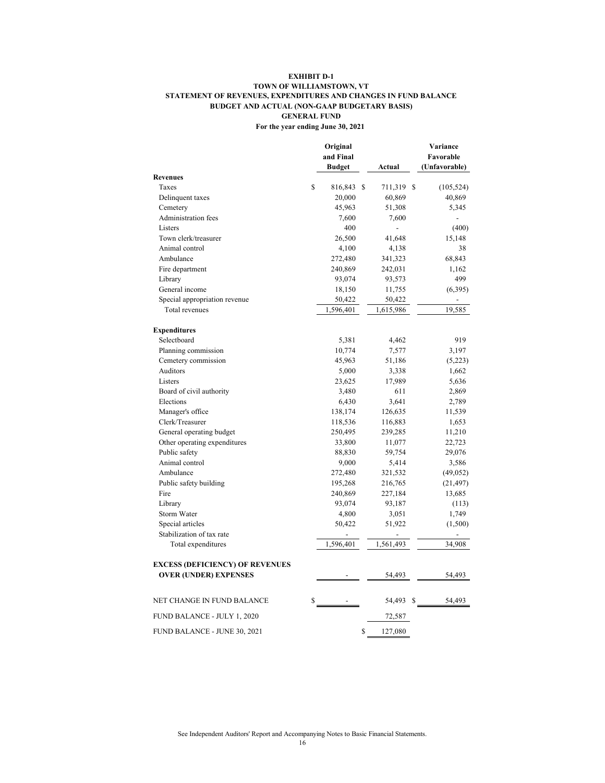#### **TOWN OF WILLIAMSTOWN, VT STATEMENT OF REVENUES, EXPENDITURES AND CHANGES IN FUND BALANCE GENERAL FUND For the year ending June 30, 2021 EXHIBIT D-1 BUDGET AND ACTUAL (NON-GAAP BUDGETARY BASIS)**

**Original Variance and Final Favorable Budget Actual (Unfavorable) Revenues** Taxes \$ 816,843 \$ 711,319 \$ (105,524) Delinquent taxes 20,000 60,869 40,869 Cemetery 45,963 51,308 5,345 Administration fees 7,600 7,600 Listers  $400$   $(400)$ Town clerk/treasurer 26,500 41,648 15,148 Animal control **4,100** 4,138 38 Ambulance 272,480 341,323 68,843 Fire department 240,869 242,031 1,162 Library 93,074 93,573 499 General income 18,150 11,755 (6,395) Special appropriation revenue 50,422 50,422 Total revenues 1,596,401 1,615,986 19,585 **Expenditures** Selectboard 5,381 4,462 919 Planning commission 10,774 7,577 3,197 Cemetery commission 45,963 51,186 (5,223) Auditors 5,000 3,338 1,662 Listers 23,625 17,989 5,636 Board of civil authority 3,480 611 2,869 Elections 6,430 3,641 2,789 Manager's office 138,174 126,635 11,539 Clerk/Treasurer 118,536 116,883 1,653 General operating budget 250,495 239,285 11,210 Other operating expenditures 33,800 11,077 22,723 Public safety 88,830 59,754 29,076 Animal control 9,000 5,414 3,586 Ambulance 272,480 321,532 (49,052) Public safety building 195,268 216,765 (21,497) Fire 240,869 227,184 13,685 Library 113) 93,074 93,187 (113) Storm Water 1,749 and 1,749 and 1,749 and 1,749 and 1,749 and 1,749 and 1,749 and 1,749 Special articles 50,422 51,922 (1,500) Stabilization of tax rate Total expenditures 1,596,401 1,561,493 34,908 **EXCESS (DEFICIENCY) OF REVENUES OVER (UNDER) EXPENSES** 54,493 54,493 NET CHANGE IN FUND BALANCE  $\qquad \qquad$  \$ 54,493 \$ 54,493 FUND BALANCE - JULY 1, 2020 72,587 FUND BALANCE - JUNE 30, 2021 \$ 127,080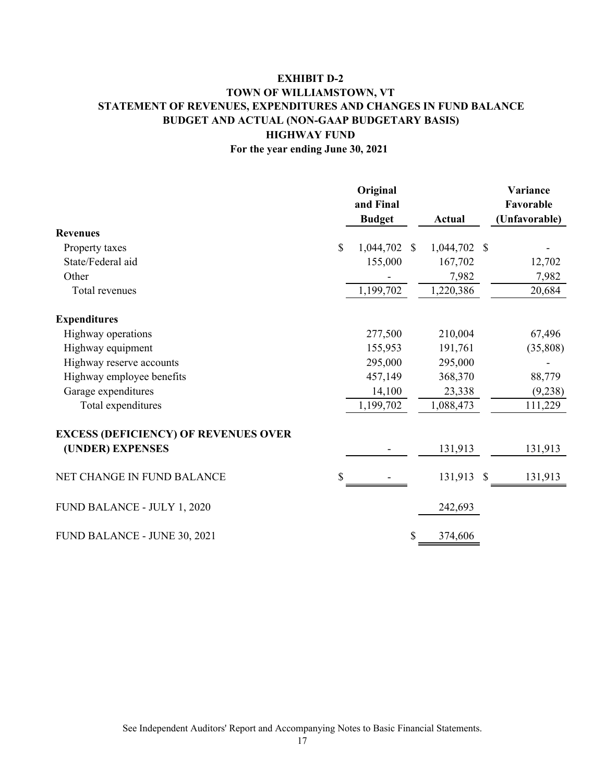# **EXHIBIT D-2 TOWN OF WILLIAMSTOWN, VT STATEMENT OF REVENUES, EXPENDITURES AND CHANGES IN FUND BALANCE HIGHWAY FUND BUDGET AND ACTUAL (NON-GAAP BUDGETARY BASIS)**

**For the year ending June 30, 2021** 

|                                             | Original<br>and Final<br><b>Budget</b> |              | <b>Actual</b> |              | Variance<br>Favorable<br>(Unfavorable) |
|---------------------------------------------|----------------------------------------|--------------|---------------|--------------|----------------------------------------|
| <b>Revenues</b>                             |                                        |              |               |              |                                        |
| Property taxes                              | \$<br>1,044,702                        | <sup>S</sup> | 1,044,702     | $\mathbb{S}$ |                                        |
| State/Federal aid                           | 155,000                                |              | 167,702       |              | 12,702                                 |
| Other                                       |                                        |              | 7,982         |              | 7,982                                  |
| Total revenues                              | 1,199,702                              |              | 1,220,386     |              | 20,684                                 |
| <b>Expenditures</b>                         |                                        |              |               |              |                                        |
| Highway operations                          | 277,500                                |              | 210,004       |              | 67,496                                 |
| Highway equipment                           | 155,953                                |              | 191,761       |              | (35,808)                               |
| Highway reserve accounts                    | 295,000                                |              | 295,000       |              |                                        |
| Highway employee benefits                   | 457,149                                |              | 368,370       |              | 88,779                                 |
| Garage expenditures                         | 14,100                                 |              | 23,338        |              | (9,238)                                |
| Total expenditures                          | 1,199,702                              |              | 1,088,473     |              | 111,229                                |
| <b>EXCESS (DEFICIENCY) OF REVENUES OVER</b> |                                        |              |               |              |                                        |
| (UNDER) EXPENSES                            |                                        |              | 131,913       |              | 131,913                                |
| NET CHANGE IN FUND BALANCE                  | \$                                     |              | 131,913       | S            | 131,913                                |
| FUND BALANCE - JULY 1, 2020                 |                                        |              | 242,693       |              |                                        |
| FUND BALANCE - JUNE 30, 2021                |                                        | \$           | 374,606       |              |                                        |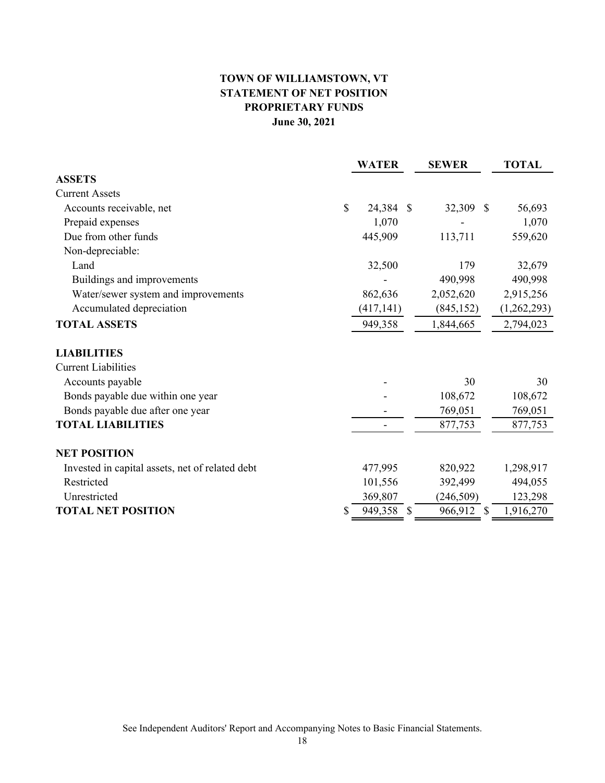# **TOWN OF WILLIAMSTOWN, VT STATEMENT OF NET POSITION June 30, 2021 PROPRIETARY FUNDS**

|                                                 |              | <b>WATER</b>            | <b>SEWER</b> | <b>TOTAL</b>            |
|-------------------------------------------------|--------------|-------------------------|--------------|-------------------------|
| <b>ASSETS</b>                                   |              |                         |              |                         |
| <b>Current Assets</b>                           |              |                         |              |                         |
| Accounts receivable, net                        | $\mathbb{S}$ | 24,384 \$               | 32,309       | 56,693<br><sup>\$</sup> |
| Prepaid expenses                                |              | 1,070                   |              | 1,070                   |
| Due from other funds                            |              | 445,909                 | 113,711      | 559,620                 |
| Non-depreciable:                                |              |                         |              |                         |
| Land                                            |              | 32,500                  | 179          | 32,679                  |
| Buildings and improvements                      |              |                         | 490,998      | 490,998                 |
| Water/sewer system and improvements             |              | 862,636                 | 2,052,620    | 2,915,256               |
| Accumulated depreciation                        |              | (417, 141)              | (845, 152)   | (1,262,293)             |
| <b>TOTAL ASSETS</b>                             |              | 949,358                 | 1,844,665    | 2,794,023               |
| <b>LIABILITIES</b>                              |              |                         |              |                         |
| <b>Current Liabilities</b>                      |              |                         |              |                         |
| Accounts payable                                |              |                         | 30           | 30                      |
| Bonds payable due within one year               |              |                         | 108,672      | 108,672                 |
| Bonds payable due after one year                |              |                         | 769,051      | 769,051                 |
| <b>TOTAL LIABILITIES</b>                        |              |                         | 877,753      | 877,753                 |
| <b>NET POSITION</b>                             |              |                         |              |                         |
| Invested in capital assets, net of related debt |              | 477,995                 | 820,922      | 1,298,917               |
| Restricted                                      |              | 101,556                 | 392,499      | 494,055                 |
| Unrestricted                                    |              | 369,807                 | (246, 509)   | 123,298                 |
| <b>TOTAL NET POSITION</b>                       | S            | 949,358<br>$\mathbb{S}$ | 966,912      | 1,916,270<br>-S         |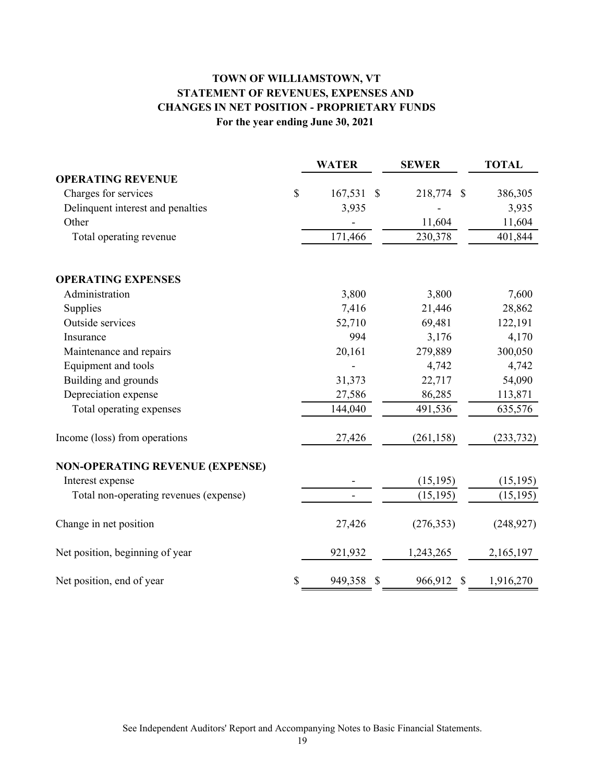# **TOWN OF WILLIAMSTOWN, VT STATEMENT OF REVENUES, EXPENSES AND CHANGES IN NET POSITION - PROPRIETARY FUNDS For the year ending June 30, 2021**

|                                        | <b>WATER</b>                   | <b>SEWER</b>             | <b>TOTAL</b> |
|----------------------------------------|--------------------------------|--------------------------|--------------|
| <b>OPERATING REVENUE</b>               |                                |                          |              |
| Charges for services                   | \$<br>167,531<br>$\mathbb{S}$  | 218,774<br>$\mathcal{S}$ | 386,305      |
| Delinquent interest and penalties      | 3,935                          |                          | 3,935        |
| Other                                  |                                | 11,604                   | 11,604       |
| Total operating revenue                | 171,466                        | 230,378                  | 401,844      |
| <b>OPERATING EXPENSES</b>              |                                |                          |              |
| Administration                         | 3,800                          | 3,800                    | 7,600        |
| Supplies                               | 7,416                          | 21,446                   | 28,862       |
| Outside services                       | 52,710                         | 69,481                   | 122,191      |
| Insurance                              | 994                            | 3,176                    | 4,170        |
| Maintenance and repairs                | 20,161                         | 279,889                  | 300,050      |
| Equipment and tools                    |                                | 4,742                    | 4,742        |
| Building and grounds                   | 31,373                         | 22,717                   | 54,090       |
| Depreciation expense                   | 27,586                         | 86,285                   | 113,871      |
| Total operating expenses               | 144,040                        | 491,536                  | 635,576      |
| Income (loss) from operations          | 27,426                         | (261, 158)               | (233, 732)   |
| <b>NON-OPERATING REVENUE (EXPENSE)</b> |                                |                          |              |
| Interest expense                       |                                | (15, 195)                | (15, 195)    |
| Total non-operating revenues (expense) |                                | (15, 195)                | (15, 195)    |
| Change in net position                 | 27,426                         | (276, 353)               | (248, 927)   |
| Net position, beginning of year        | 921,932                        | 1,243,265                | 2,165,197    |
| Net position, end of year              | \$<br>949,358<br>$\mathcal{S}$ | 966,912<br>$\mathbb{S}$  | 1,916,270    |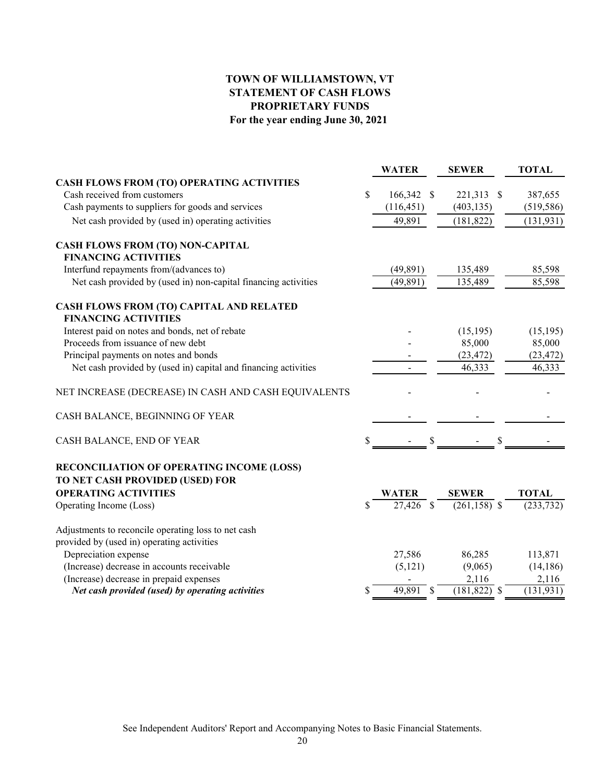# **TOWN OF WILLIAMSTOWN, VT STATEMENT OF CASH FLOWS PROPRIETARY FUNDS For the year ending June 30, 2021**

|                                                                 | <b>WATER</b>     |             | <b>SEWER</b>              | <b>TOTAL</b> |
|-----------------------------------------------------------------|------------------|-------------|---------------------------|--------------|
| <b>CASH FLOWS FROM (TO) OPERATING ACTIVITIES</b>                |                  |             |                           |              |
| Cash received from customers                                    | \$<br>166,342 \$ |             | 221,313 \$                | 387,655      |
| Cash payments to suppliers for goods and services               | (116, 451)       |             | (403, 135)                | (519, 586)   |
| Net cash provided by (used in) operating activities             | 49,891           |             | (181, 822)                | (131, 931)   |
| <b>CASH FLOWS FROM (TO) NON-CAPITAL</b>                         |                  |             |                           |              |
| <b>FINANCING ACTIVITIES</b>                                     |                  |             |                           |              |
| Interfund repayments from/(advances to)                         | (49, 891)        |             | 135,489                   | 85,598       |
| Net cash provided by (used in) non-capital financing activities | (49, 891)        |             | 135,489                   | 85,598       |
| CASH FLOWS FROM (TO) CAPITAL AND RELATED                        |                  |             |                           |              |
| <b>FINANCING ACTIVITIES</b>                                     |                  |             |                           |              |
| Interest paid on notes and bonds, net of rebate                 |                  |             | (15, 195)                 | (15, 195)    |
| Proceeds from issuance of new debt                              |                  |             | 85,000                    | 85,000       |
| Principal payments on notes and bonds                           |                  |             | (23, 472)                 | (23, 472)    |
| Net cash provided by (used in) capital and financing activities |                  |             | 46,333                    | 46,333       |
| NET INCREASE (DECREASE) IN CASH AND CASH EQUIVALENTS            |                  |             |                           |              |
| CASH BALANCE, BEGINNING OF YEAR                                 |                  |             |                           |              |
| CASH BALANCE, END OF YEAR                                       | \$               |             |                           |              |
| RECONCILIATION OF OPERATING INCOME (LOSS)                       |                  |             |                           |              |
| TO NET CASH PROVIDED (USED) FOR                                 |                  |             |                           |              |
| <b>OPERATING ACTIVITIES</b>                                     | <b>WATER</b>     |             | <b>SEWER</b>              | <b>TOTAL</b> |
| Operating Income (Loss)                                         | \$<br>27,426 \$  |             | $(261, 158)$ \$           | (233, 732)   |
| Adjustments to reconcile operating loss to net cash             |                  |             |                           |              |
| provided by (used in) operating activities                      |                  |             |                           |              |
| Depreciation expense                                            | 27,586           |             | 86,285                    | 113,871      |
| (Increase) decrease in accounts receivable                      | (5,121)          |             | (9,065)                   | (14, 186)    |
| (Increase) decrease in prepaid expenses                         |                  |             | 2,116                     | 2,116        |
| Net cash provided (used) by operating activities                | \$<br>49,891     | $\mathbf S$ | $\overline{(181,822)}$ \$ | (131, 931)   |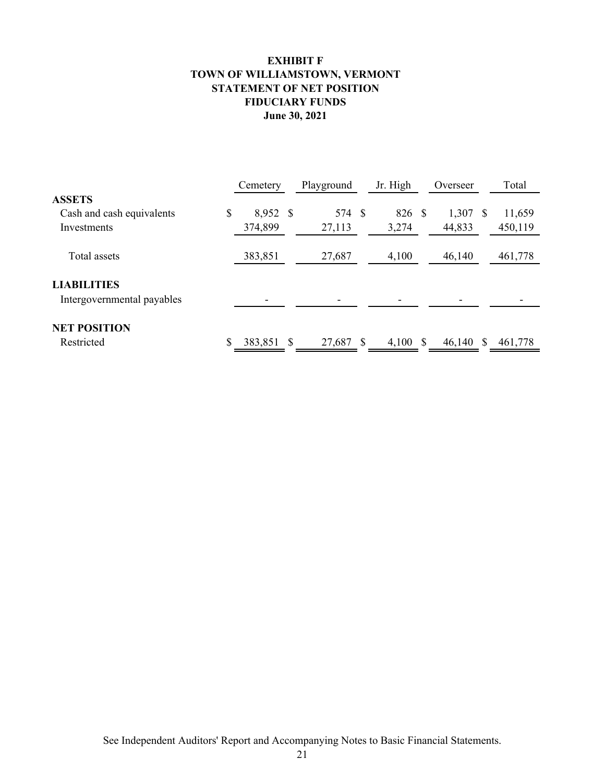# **EXHIBIT F TOWN OF WILLIAMSTOWN, VERMONT STATEMENT OF NET POSITION FIDUCIARY FUNDS June 30, 2021**

|                            | Cemetery       |  | Playground |          | Jr. High            |  |             |    | Total   |  |
|----------------------------|----------------|--|------------|----------|---------------------|--|-------------|----|---------|--|
| <b>ASSETS</b>              |                |  |            |          |                     |  |             |    |         |  |
| Cash and cash equivalents  | \$<br>8,952 \$ |  | 574        | <b>S</b> | 826 \$              |  | 1,307       | -S | 11,659  |  |
| Investments                | 374,899        |  | 27,113     |          | 3,274               |  | 44,833      |    | 450,119 |  |
|                            |                |  |            |          |                     |  |             |    |         |  |
| Total assets               | 383,851        |  | 27,687     |          | 4,100               |  | 46,140      |    | 461,778 |  |
|                            |                |  |            |          |                     |  |             |    |         |  |
| <b>LIABILITIES</b>         |                |  |            |          |                     |  |             |    |         |  |
| Intergovernmental payables |                |  |            |          |                     |  |             |    |         |  |
|                            |                |  |            |          |                     |  |             |    |         |  |
| <b>NET POSITION</b>        |                |  |            |          |                     |  |             |    |         |  |
| Restricted                 | 383,851 \$     |  | 27,687     | - \$     | $4,100 \text{ }$ \$ |  | $46,140$ \$ |    | 461,778 |  |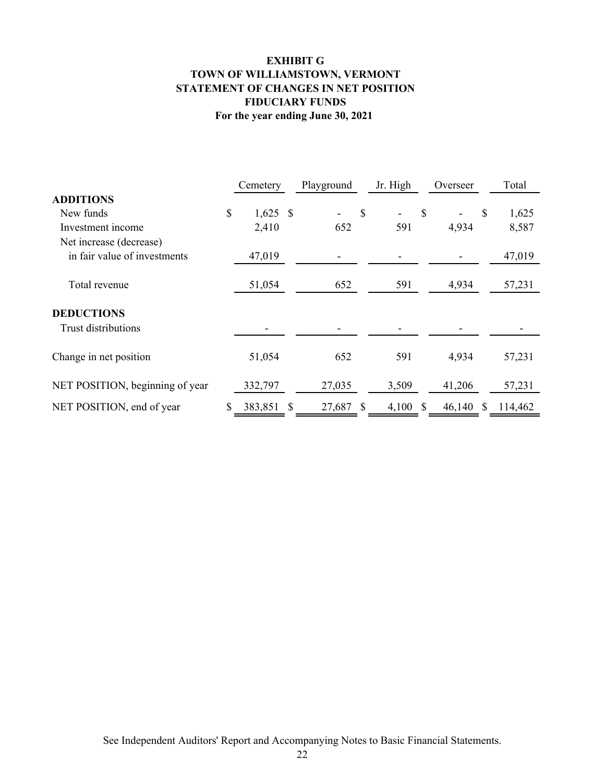# **EXHIBIT G TOWN OF WILLIAMSTOWN, VERMONT STATEMENT OF CHANGES IN NET POSITION FIDUCIARY FUNDS For the year ending June 30, 2021**

|                                 | Cemetery         | Playground                   |          | Jr. High   | Overseer |    | Total   |
|---------------------------------|------------------|------------------------------|----------|------------|----------|----|---------|
| <b>ADDITIONS</b>                |                  |                              |          |            |          |    |         |
| New funds                       | \$<br>$1,625$ \$ | $\qquad \qquad \blacksquare$ | \$       |            | \$<br>\$ |    | 1,625   |
| Investment income               | 2,410            | 652                          |          | 591        | 4,934    |    | 8,587   |
| Net increase (decrease)         |                  |                              |          |            |          |    |         |
| in fair value of investments    | 47,019           |                              |          |            |          |    | 47,019  |
| Total revenue                   | 51,054           | 652                          |          | 591        | 4,934    |    | 57,231  |
| <b>DEDUCTIONS</b>               |                  |                              |          |            |          |    |         |
| <b>Trust distributions</b>      |                  |                              |          |            |          |    |         |
| Change in net position          | 51,054           | 652                          |          | 591        | 4,934    |    | 57,231  |
| NET POSITION, beginning of year | 332,797          | 27,035                       |          | 3,509      | 41,206   |    | 57,231  |
| NET POSITION, end of year       | \$<br>383,851 \$ | 27,687                       | <b>S</b> | $4,100$ \$ | 46,140   | S. | 114,462 |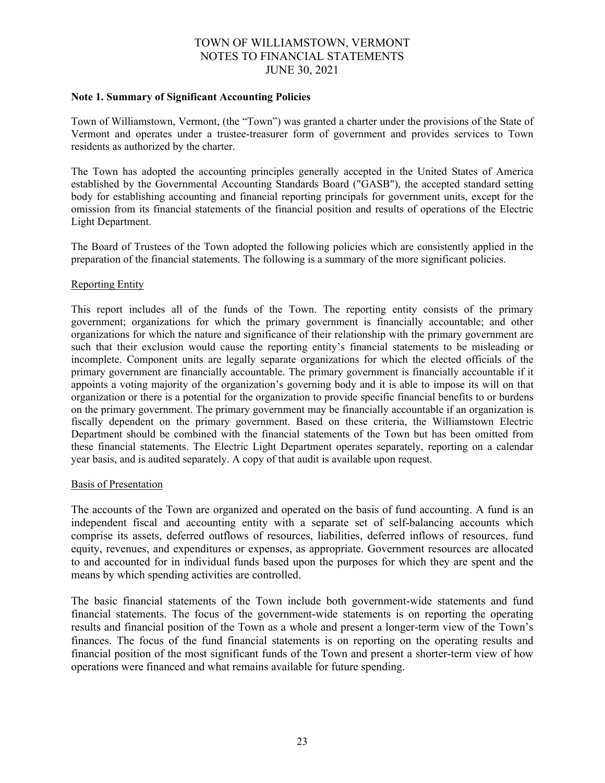#### **Note 1. Summary of Significant Accounting Policies**

Town of Williamstown, Vermont, (the "Town") was granted a charter under the provisions of the State of Vermont and operates under a trustee-treasurer form of government and provides services to Town residents as authorized by the charter.

The Town has adopted the accounting principles generally accepted in the United States of America established by the Governmental Accounting Standards Board ("GASB"), the accepted standard setting body for establishing accounting and financial reporting principals for government units, except for the omission from its financial statements of the financial position and results of operations of the Electric Light Department.

The Board of Trustees of the Town adopted the following policies which are consistently applied in the preparation of the financial statements. The following is a summary of the more significant policies.

#### Reporting Entity

This report includes all of the funds of the Town. The reporting entity consists of the primary government; organizations for which the primary government is financially accountable; and other organizations for which the nature and significance of their relationship with the primary government are such that their exclusion would cause the reporting entity's financial statements to be misleading or incomplete. Component units are legally separate organizations for which the elected officials of the primary government are financially accountable. The primary government is financially accountable if it appoints a voting majority of the organization's governing body and it is able to impose its will on that organization or there is a potential for the organization to provide specific financial benefits to or burdens on the primary government. The primary government may be financially accountable if an organization is fiscally dependent on the primary government. Based on these criteria, the Williamstown Electric Department should be combined with the financial statements of the Town but has been omitted from these financial statements. The Electric Light Department operates separately, reporting on a calendar year basis, and is audited separately. A copy of that audit is available upon request.

#### Basis of Presentation

The accounts of the Town are organized and operated on the basis of fund accounting. A fund is an independent fiscal and accounting entity with a separate set of self-balancing accounts which comprise its assets, deferred outflows of resources, liabilities, deferred inflows of resources, fund equity, revenues, and expenditures or expenses, as appropriate. Government resources are allocated to and accounted for in individual funds based upon the purposes for which they are spent and the means by which spending activities are controlled.

The basic financial statements of the Town include both government-wide statements and fund financial statements. The focus of the government-wide statements is on reporting the operating results and financial position of the Town as a whole and present a longer-term view of the Town's finances. The focus of the fund financial statements is on reporting on the operating results and financial position of the most significant funds of the Town and present a shorter-term view of how operations were financed and what remains available for future spending.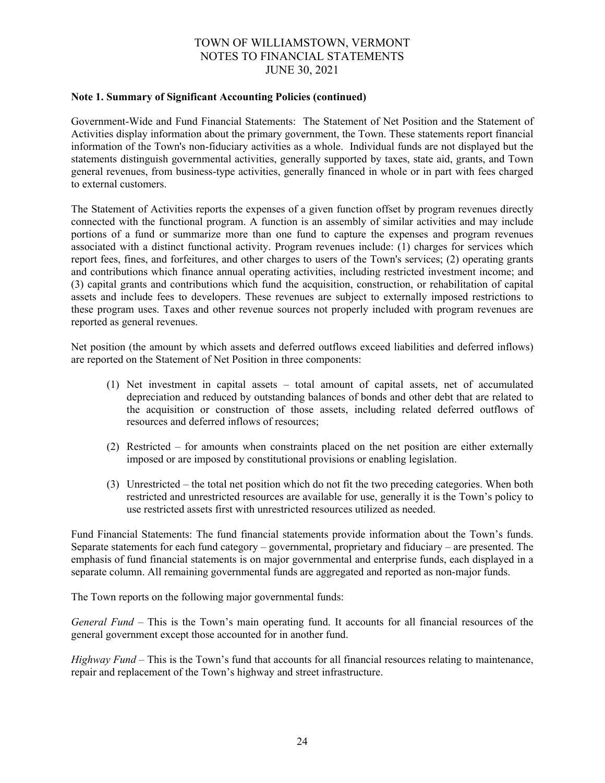#### **Note 1. Summary of Significant Accounting Policies (continued)**

Government-Wide and Fund Financial Statements: The Statement of Net Position and the Statement of Activities display information about the primary government, the Town. These statements report financial information of the Town's non-fiduciary activities as a whole. Individual funds are not displayed but the statements distinguish governmental activities, generally supported by taxes, state aid, grants, and Town general revenues, from business-type activities, generally financed in whole or in part with fees charged to external customers.

The Statement of Activities reports the expenses of a given function offset by program revenues directly connected with the functional program. A function is an assembly of similar activities and may include portions of a fund or summarize more than one fund to capture the expenses and program revenues associated with a distinct functional activity. Program revenues include: (1) charges for services which report fees, fines, and forfeitures, and other charges to users of the Town's services; (2) operating grants and contributions which finance annual operating activities, including restricted investment income; and (3) capital grants and contributions which fund the acquisition, construction, or rehabilitation of capital assets and include fees to developers. These revenues are subject to externally imposed restrictions to these program uses. Taxes and other revenue sources not properly included with program revenues are reported as general revenues.

Net position (the amount by which assets and deferred outflows exceed liabilities and deferred inflows) are reported on the Statement of Net Position in three components:

- (1) Net investment in capital assets total amount of capital assets, net of accumulated depreciation and reduced by outstanding balances of bonds and other debt that are related to the acquisition or construction of those assets, including related deferred outflows of resources and deferred inflows of resources;
- (2) Restricted for amounts when constraints placed on the net position are either externally imposed or are imposed by constitutional provisions or enabling legislation.
- (3) Unrestricted the total net position which do not fit the two preceding categories. When both restricted and unrestricted resources are available for use, generally it is the Town's policy to use restricted assets first with unrestricted resources utilized as needed.

Fund Financial Statements: The fund financial statements provide information about the Town's funds. Separate statements for each fund category – governmental, proprietary and fiduciary – are presented. The emphasis of fund financial statements is on major governmental and enterprise funds, each displayed in a separate column. All remaining governmental funds are aggregated and reported as non-major funds.

The Town reports on the following major governmental funds:

*General Fund* – This is the Town's main operating fund. It accounts for all financial resources of the general government except those accounted for in another fund.

*Highway Fund* – This is the Town's fund that accounts for all financial resources relating to maintenance, repair and replacement of the Town's highway and street infrastructure.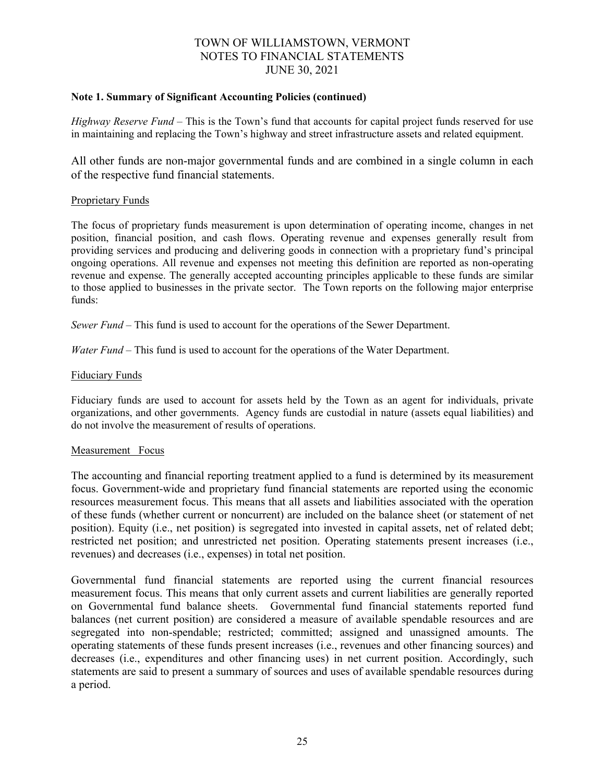#### **Note 1. Summary of Significant Accounting Policies (continued)**

*Highway Reserve Fund* – This is the Town's fund that accounts for capital project funds reserved for use in maintaining and replacing the Town's highway and street infrastructure assets and related equipment.

All other funds are non-major governmental funds and are combined in a single column in each of the respective fund financial statements.

### Proprietary Funds

The focus of proprietary funds measurement is upon determination of operating income, changes in net position, financial position, and cash flows. Operating revenue and expenses generally result from providing services and producing and delivering goods in connection with a proprietary fund's principal ongoing operations. All revenue and expenses not meeting this definition are reported as non-operating revenue and expense. The generally accepted accounting principles applicable to these funds are similar to those applied to businesses in the private sector. The Town reports on the following major enterprise funds:

*Sewer Fund – This fund is used to account for the operations of the Sewer Department.* 

*Water Fund –* This fund is used to account for the operations of the Water Department.

#### Fiduciary Funds

Fiduciary funds are used to account for assets held by the Town as an agent for individuals, private organizations, and other governments. Agency funds are custodial in nature (assets equal liabilities) and do not involve the measurement of results of operations.

#### Measurement Focus

The accounting and financial reporting treatment applied to a fund is determined by its measurement focus. Government-wide and proprietary fund financial statements are reported using the economic resources measurement focus. This means that all assets and liabilities associated with the operation of these funds (whether current or noncurrent) are included on the balance sheet (or statement of net position). Equity (i.e., net position) is segregated into invested in capital assets, net of related debt; restricted net position; and unrestricted net position. Operating statements present increases (i.e., revenues) and decreases (i.e., expenses) in total net position.

Governmental fund financial statements are reported using the current financial resources measurement focus. This means that only current assets and current liabilities are generally reported on Governmental fund balance sheets. Governmental fund financial statements reported fund balances (net current position) are considered a measure of available spendable resources and are segregated into non-spendable; restricted; committed; assigned and unassigned amounts. The operating statements of these funds present increases (i.e., revenues and other financing sources) and decreases (i.e., expenditures and other financing uses) in net current position. Accordingly, such statements are said to present a summary of sources and uses of available spendable resources during a period.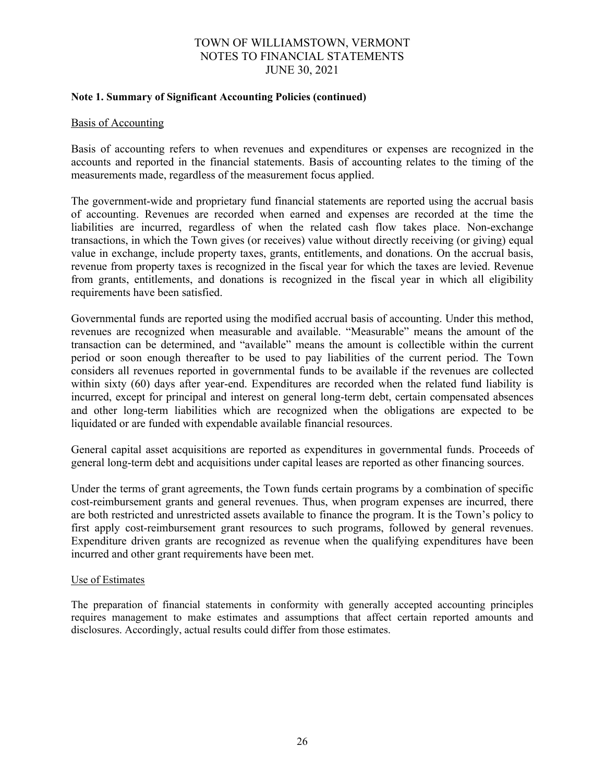#### **Note 1. Summary of Significant Accounting Policies (continued)**

### Basis of Accounting

Basis of accounting refers to when revenues and expenditures or expenses are recognized in the accounts and reported in the financial statements. Basis of accounting relates to the timing of the measurements made, regardless of the measurement focus applied.

The government-wide and proprietary fund financial statements are reported using the accrual basis of accounting. Revenues are recorded when earned and expenses are recorded at the time the liabilities are incurred, regardless of when the related cash flow takes place. Non-exchange transactions, in which the Town gives (or receives) value without directly receiving (or giving) equal value in exchange, include property taxes, grants, entitlements, and donations. On the accrual basis, revenue from property taxes is recognized in the fiscal year for which the taxes are levied. Revenue from grants, entitlements, and donations is recognized in the fiscal year in which all eligibility requirements have been satisfied.

Governmental funds are reported using the modified accrual basis of accounting. Under this method, revenues are recognized when measurable and available. "Measurable" means the amount of the transaction can be determined, and "available" means the amount is collectible within the current period or soon enough thereafter to be used to pay liabilities of the current period. The Town considers all revenues reported in governmental funds to be available if the revenues are collected within sixty (60) days after year-end. Expenditures are recorded when the related fund liability is incurred, except for principal and interest on general long-term debt, certain compensated absences and other long-term liabilities which are recognized when the obligations are expected to be liquidated or are funded with expendable available financial resources.

General capital asset acquisitions are reported as expenditures in governmental funds. Proceeds of general long-term debt and acquisitions under capital leases are reported as other financing sources.

Under the terms of grant agreements, the Town funds certain programs by a combination of specific cost-reimbursement grants and general revenues. Thus, when program expenses are incurred, there are both restricted and unrestricted assets available to finance the program. It is the Town's policy to first apply cost-reimbursement grant resources to such programs, followed by general revenues. Expenditure driven grants are recognized as revenue when the qualifying expenditures have been incurred and other grant requirements have been met.

#### Use of Estimates

The preparation of financial statements in conformity with generally accepted accounting principles requires management to make estimates and assumptions that affect certain reported amounts and disclosures. Accordingly, actual results could differ from those estimates.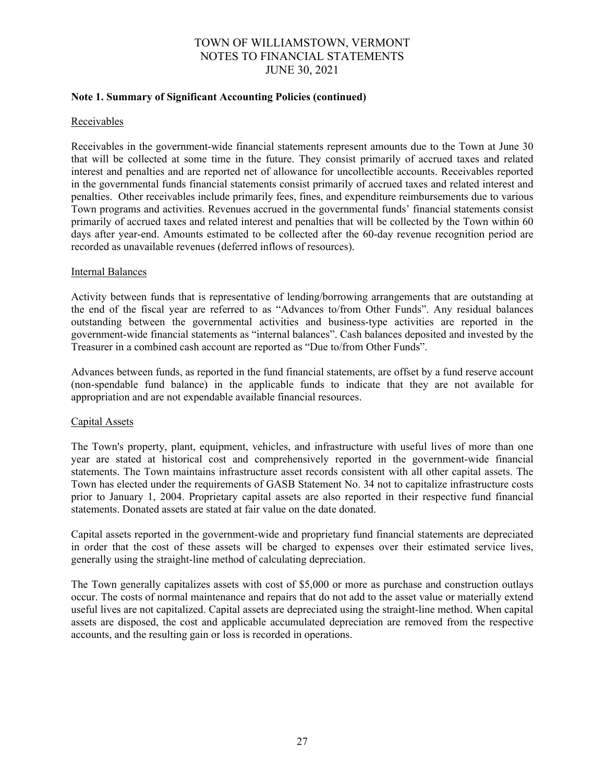#### **Note 1. Summary of Significant Accounting Policies (continued)**

#### Receivables

Receivables in the government-wide financial statements represent amounts due to the Town at June 30 that will be collected at some time in the future. They consist primarily of accrued taxes and related interest and penalties and are reported net of allowance for uncollectible accounts. Receivables reported in the governmental funds financial statements consist primarily of accrued taxes and related interest and penalties. Other receivables include primarily fees, fines, and expenditure reimbursements due to various Town programs and activities. Revenues accrued in the governmental funds' financial statements consist primarily of accrued taxes and related interest and penalties that will be collected by the Town within 60 days after year-end. Amounts estimated to be collected after the 60-day revenue recognition period are recorded as unavailable revenues (deferred inflows of resources).

#### Internal Balances

Activity between funds that is representative of lending/borrowing arrangements that are outstanding at the end of the fiscal year are referred to as "Advances to/from Other Funds". Any residual balances outstanding between the governmental activities and business-type activities are reported in the government-wide financial statements as "internal balances". Cash balances deposited and invested by the Treasurer in a combined cash account are reported as "Due to/from Other Funds".

Advances between funds, as reported in the fund financial statements, are offset by a fund reserve account (non-spendable fund balance) in the applicable funds to indicate that they are not available for appropriation and are not expendable available financial resources.

#### Capital Assets

The Town's property, plant, equipment, vehicles, and infrastructure with useful lives of more than one year are stated at historical cost and comprehensively reported in the government-wide financial statements. The Town maintains infrastructure asset records consistent with all other capital assets. The Town has elected under the requirements of GASB Statement No. 34 not to capitalize infrastructure costs prior to January 1, 2004. Proprietary capital assets are also reported in their respective fund financial statements. Donated assets are stated at fair value on the date donated.

Capital assets reported in the government-wide and proprietary fund financial statements are depreciated in order that the cost of these assets will be charged to expenses over their estimated service lives, generally using the straight-line method of calculating depreciation.

The Town generally capitalizes assets with cost of \$5,000 or more as purchase and construction outlays occur. The costs of normal maintenance and repairs that do not add to the asset value or materially extend useful lives are not capitalized. Capital assets are depreciated using the straight-line method. When capital assets are disposed, the cost and applicable accumulated depreciation are removed from the respective accounts, and the resulting gain or loss is recorded in operations.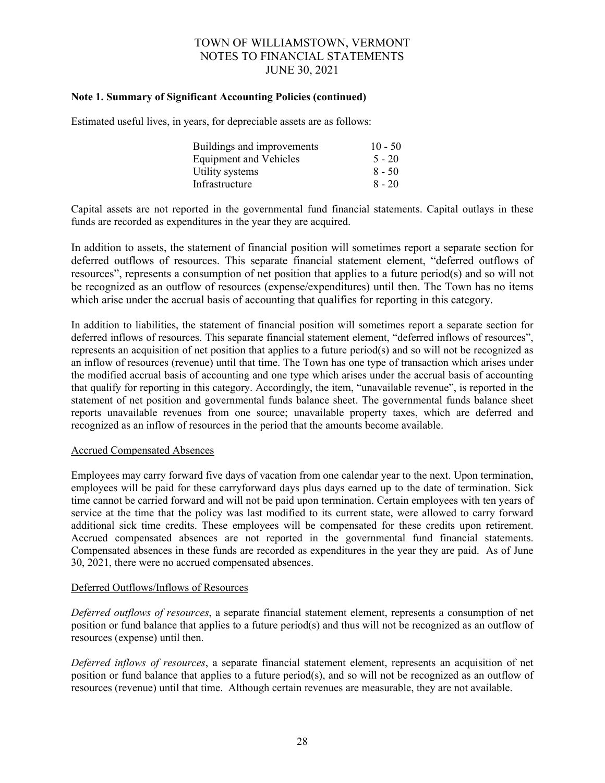#### **Note 1. Summary of Significant Accounting Policies (continued)**

Estimated useful lives, in years, for depreciable assets are as follows:

| Buildings and improvements    | $10 - 50$ |
|-------------------------------|-----------|
| <b>Equipment and Vehicles</b> | $5 - 20$  |
| Utility systems               | $8 - 50$  |
| Infrastructure                | $8 - 20$  |

Capital assets are not reported in the governmental fund financial statements. Capital outlays in these funds are recorded as expenditures in the year they are acquired.

In addition to assets, the statement of financial position will sometimes report a separate section for deferred outflows of resources. This separate financial statement element, "deferred outflows of resources", represents a consumption of net position that applies to a future period(s) and so will not be recognized as an outflow of resources (expense/expenditures) until then. The Town has no items which arise under the accrual basis of accounting that qualifies for reporting in this category.

In addition to liabilities, the statement of financial position will sometimes report a separate section for deferred inflows of resources. This separate financial statement element, "deferred inflows of resources", represents an acquisition of net position that applies to a future period(s) and so will not be recognized as an inflow of resources (revenue) until that time. The Town has one type of transaction which arises under the modified accrual basis of accounting and one type which arises under the accrual basis of accounting that qualify for reporting in this category. Accordingly, the item, "unavailable revenue", is reported in the statement of net position and governmental funds balance sheet. The governmental funds balance sheet reports unavailable revenues from one source; unavailable property taxes, which are deferred and recognized as an inflow of resources in the period that the amounts become available.

#### Accrued Compensated Absences

Employees may carry forward five days of vacation from one calendar year to the next. Upon termination, employees will be paid for these carryforward days plus days earned up to the date of termination. Sick time cannot be carried forward and will not be paid upon termination. Certain employees with ten years of service at the time that the policy was last modified to its current state, were allowed to carry forward additional sick time credits. These employees will be compensated for these credits upon retirement. Accrued compensated absences are not reported in the governmental fund financial statements. Compensated absences in these funds are recorded as expenditures in the year they are paid. As of June 30, 2021, there were no accrued compensated absences.

#### Deferred Outflows/Inflows of Resources

*Deferred outflows of resources*, a separate financial statement element, represents a consumption of net position or fund balance that applies to a future period(s) and thus will not be recognized as an outflow of resources (expense) until then.

*Deferred inflows of resources*, a separate financial statement element, represents an acquisition of net position or fund balance that applies to a future period(s), and so will not be recognized as an outflow of resources (revenue) until that time. Although certain revenues are measurable, they are not available.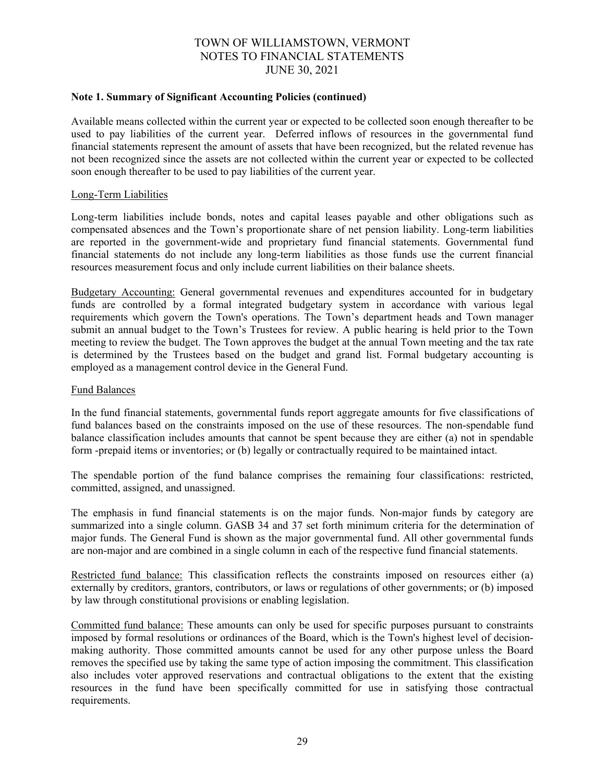#### **Note 1. Summary of Significant Accounting Policies (continued)**

Available means collected within the current year or expected to be collected soon enough thereafter to be used to pay liabilities of the current year. Deferred inflows of resources in the governmental fund financial statements represent the amount of assets that have been recognized, but the related revenue has not been recognized since the assets are not collected within the current year or expected to be collected soon enough thereafter to be used to pay liabilities of the current year.

#### Long-Term Liabilities

Long-term liabilities include bonds, notes and capital leases payable and other obligations such as compensated absences and the Town's proportionate share of net pension liability. Long-term liabilities are reported in the government-wide and proprietary fund financial statements. Governmental fund financial statements do not include any long-term liabilities as those funds use the current financial resources measurement focus and only include current liabilities on their balance sheets.

Budgetary Accounting: General governmental revenues and expenditures accounted for in budgetary funds are controlled by a formal integrated budgetary system in accordance with various legal requirements which govern the Town's operations. The Town's department heads and Town manager submit an annual budget to the Town's Trustees for review. A public hearing is held prior to the Town meeting to review the budget. The Town approves the budget at the annual Town meeting and the tax rate is determined by the Trustees based on the budget and grand list. Formal budgetary accounting is employed as a management control device in the General Fund.

#### Fund Balances

In the fund financial statements, governmental funds report aggregate amounts for five classifications of fund balances based on the constraints imposed on the use of these resources. The non-spendable fund balance classification includes amounts that cannot be spent because they are either (a) not in spendable form -prepaid items or inventories; or (b) legally or contractually required to be maintained intact.

The spendable portion of the fund balance comprises the remaining four classifications: restricted, committed, assigned, and unassigned.

The emphasis in fund financial statements is on the major funds. Non-major funds by category are summarized into a single column. GASB 34 and 37 set forth minimum criteria for the determination of major funds. The General Fund is shown as the major governmental fund. All other governmental funds are non-major and are combined in a single column in each of the respective fund financial statements.

Restricted fund balance: This classification reflects the constraints imposed on resources either (a) externally by creditors, grantors, contributors, or laws or regulations of other governments; or (b) imposed by law through constitutional provisions or enabling legislation.

Committed fund balance: These amounts can only be used for specific purposes pursuant to constraints imposed by formal resolutions or ordinances of the Board, which is the Town's highest level of decisionmaking authority. Those committed amounts cannot be used for any other purpose unless the Board removes the specified use by taking the same type of action imposing the commitment. This classification also includes voter approved reservations and contractual obligations to the extent that the existing resources in the fund have been specifically committed for use in satisfying those contractual requirements.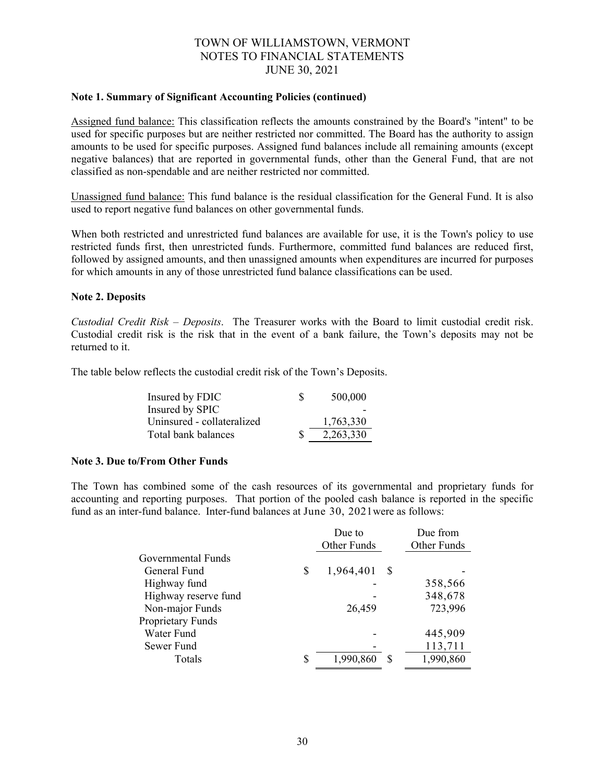#### **Note 1. Summary of Significant Accounting Policies (continued)**

Assigned fund balance: This classification reflects the amounts constrained by the Board's "intent" to be used for specific purposes but are neither restricted nor committed. The Board has the authority to assign amounts to be used for specific purposes. Assigned fund balances include all remaining amounts (except negative balances) that are reported in governmental funds, other than the General Fund, that are not classified as non-spendable and are neither restricted nor committed.

Unassigned fund balance: This fund balance is the residual classification for the General Fund. It is also used to report negative fund balances on other governmental funds.

When both restricted and unrestricted fund balances are available for use, it is the Town's policy to use restricted funds first, then unrestricted funds. Furthermore, committed fund balances are reduced first, followed by assigned amounts, and then unassigned amounts when expenditures are incurred for purposes for which amounts in any of those unrestricted fund balance classifications can be used.

#### **Note 2. Deposits**

*Custodial Credit Risk – Deposits*. The Treasurer works with the Board to limit custodial credit risk. Custodial credit risk is the risk that in the event of a bank failure, the Town's deposits may not be returned to it.

The table below reflects the custodial credit risk of the Town's Deposits.

| Insured by FDIC            | S | 500,000   |
|----------------------------|---|-----------|
| Insured by SPIC            |   |           |
| Uninsured - collateralized |   | 1,763,330 |
| Total bank balances        |   | 2,263,330 |

#### **Note 3. Due to/From Other Funds**

The Town has combined some of the cash resources of its governmental and proprietary funds for accounting and reporting purposes. That portion of the pooled cash balance is reported in the specific fund as an inter-fund balance. Inter-fund balances at June 30, 2021were as follows:

|                      |   | Due to<br>Other Funds |              | Due from<br>Other Funds |
|----------------------|---|-----------------------|--------------|-------------------------|
| Governmental Funds   |   |                       |              |                         |
| General Fund         | S | 1,964,401             | <b>S</b>     |                         |
| Highway fund         |   |                       |              | 358,566                 |
| Highway reserve fund |   |                       |              | 348,678                 |
| Non-major Funds      |   | 26,459                |              | 723,996                 |
| Proprietary Funds    |   |                       |              |                         |
| Water Fund           |   |                       |              | 445,909                 |
| Sewer Fund           |   |                       |              | 113,711                 |
| Totals               | S | 1,990,860             | <sup>8</sup> | 1,990,860               |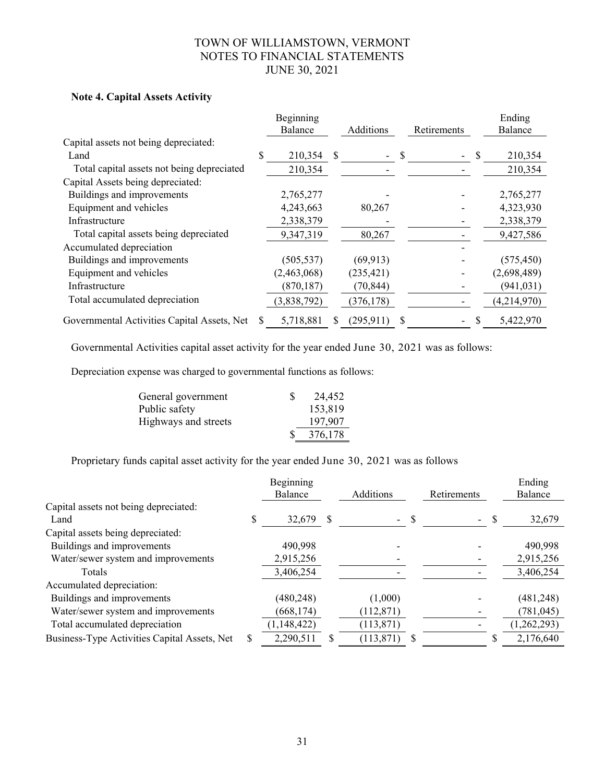### **Note 4. Capital Assets Activity**

|                                             |    | Beginning   |    |            |             | Ending          |
|---------------------------------------------|----|-------------|----|------------|-------------|-----------------|
|                                             |    | Balance     |    | Additions  | Retirements | Balance         |
| Capital assets not being depreciated:       |    |             |    |            |             |                 |
| Land                                        | \$ | 210,354     | \$ |            | \$          | \$<br>210,354   |
| Total capital assets not being depreciated  |    | 210,354     |    |            |             | 210,354         |
| Capital Assets being depreciated:           |    |             |    |            |             |                 |
| Buildings and improvements                  |    | 2,765,277   |    |            |             | 2,765,277       |
| Equipment and vehicles                      |    | 4,243,663   |    | 80,267     |             | 4,323,930       |
| Infrastructure                              |    | 2,338,379   |    |            |             | 2,338,379       |
| Total capital assets being depreciated      |    | 9,347,319   |    | 80,267     |             | 9,427,586       |
| Accumulated depreciation                    |    |             |    |            |             |                 |
| Buildings and improvements                  |    | (505, 537)  |    | (69, 913)  |             | (575, 450)      |
| Equipment and vehicles                      |    | (2,463,068) |    | (235, 421) |             | (2,698,489)     |
| Infrastructure                              |    | (870, 187)  |    | (70, 844)  |             | (941, 031)      |
| Total accumulated depreciation              |    | (3,838,792) |    | (376, 178) |             | (4,214,970)     |
| Governmental Activities Capital Assets, Net | S. | 5,718,881   | S  | (295, 911) | \$          | \$<br>5,422,970 |

Governmental Activities capital asset activity for the year ended June 30, 2021 was as follows:

Depreciation expense was charged to governmental functions as follows:

| General government   | 24,452  |
|----------------------|---------|
| Public safety        | 153,819 |
| Highways and streets | 197,907 |
|                      | 376,178 |

Proprietary funds capital asset activity for the year ended June 30, 2021 was as follows

|                                              |    | Beginning  |                  |               |             |    | Ending      |
|----------------------------------------------|----|------------|------------------|---------------|-------------|----|-------------|
|                                              |    | Balance    | <b>Additions</b> |               | Retirements |    | Balance     |
| Capital assets not being depreciated:        |    |            |                  |               |             |    |             |
| Land                                         | J. | 32,679 \$  | $\sim$           | <sup>\$</sup> | $\sim$      | S  | 32,679      |
| Capital assets being depreciated:            |    |            |                  |               |             |    |             |
| Buildings and improvements                   |    | 490,998    |                  |               |             |    | 490,998     |
| Water/sewer system and improvements          |    | 2,915,256  |                  |               |             |    | 2,915,256   |
| Totals                                       |    | 3,406,254  |                  |               |             |    | 3,406,254   |
| Accumulated depreciation:                    |    |            |                  |               |             |    |             |
| Buildings and improvements                   |    | (480, 248) | (1,000)          |               |             |    | (481, 248)  |
| Water/sewer system and improvements          |    | (668, 174) | (112, 871)       |               |             |    | (781, 045)  |
| Total accumulated depreciation               |    | 1,148,422) | (113, 871)       |               |             |    | (1,262,293) |
| Business-Type Activities Capital Assets, Net | \$ | 2,290,511  | (113, 871)       |               |             | J. | 2,176,640   |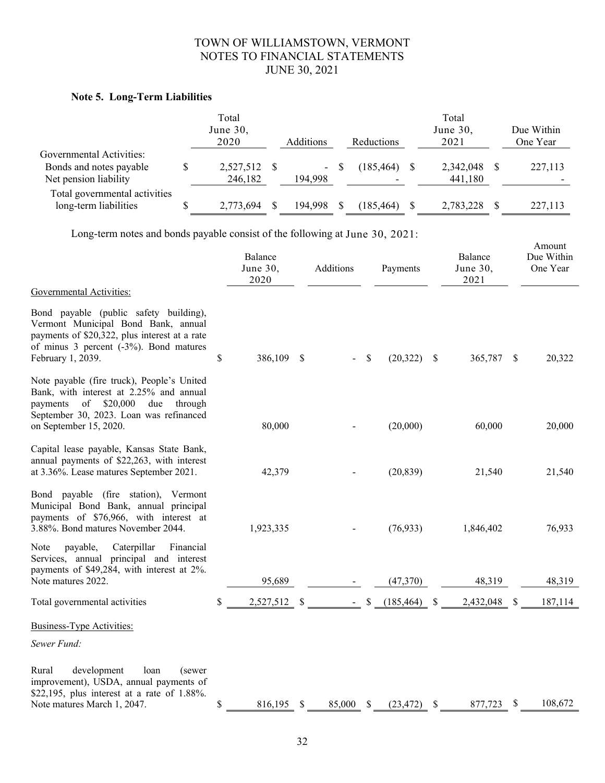# **Note 5. Long-Term Liabilities**

|                                                                              | Total<br>June 30,<br>2020 | <b>Additions</b>      | Reductions                             |   | Total<br>June $30$ ,<br>2021 | Due Within<br>One Year |
|------------------------------------------------------------------------------|---------------------------|-----------------------|----------------------------------------|---|------------------------------|------------------------|
| Governmental Activities:<br>Bonds and notes payable<br>Net pension liability | 2,527,512 \$<br>246,182   | $\sim$ $-$<br>194.998 | (185, 464)<br>$\overline{\phantom{a}}$ |   | 2,342,048<br>441,180         | 227,113                |
| Total governmental activities<br>long-term liabilities                       | 2,773,694                 | 194,998               | (185, 464)                             | S | 2,783,228                    | 227,113                |

Long-term notes and bonds payable consist of the following at June 30, 2021:

|                                                                                                                                                                                                    | Balance<br>June 30,<br>2020 | Additions | Payments              |              | Balance<br>June 30,<br>2021 |              | Amount<br>Due Within<br>One Year |
|----------------------------------------------------------------------------------------------------------------------------------------------------------------------------------------------------|-----------------------------|-----------|-----------------------|--------------|-----------------------------|--------------|----------------------------------|
| Governmental Activities:                                                                                                                                                                           |                             |           |                       |              |                             |              |                                  |
| Bond payable (public safety building),<br>Vermont Municipal Bond Bank, annual<br>payments of \$20,322, plus interest at a rate<br>of minus $3$ percent $(-3%)$ . Bond matures<br>February 1, 2039. | \$<br>386,109               | \$        | \$<br>(20, 322)       | <sup>S</sup> | 365,787                     | <sup>S</sup> | 20,322                           |
| Note payable (fire truck), People's United<br>Bank, with interest at 2.25% and annual<br>payments of \$20,000 due<br>through<br>September 30, 2023. Loan was refinanced<br>on September 15, 2020.  | 80,000                      |           | (20,000)              |              | 60,000                      |              | 20,000                           |
| Capital lease payable, Kansas State Bank,<br>annual payments of \$22,263, with interest<br>at 3.36%. Lease matures September 2021.                                                                 | 42,379                      |           | (20, 839)             |              | 21,540                      |              | 21,540                           |
| Bond payable (fire station), Vermont<br>Municipal Bond Bank, annual principal<br>payments of \$76,966, with interest at<br>3.88%. Bond matures November 2044.                                      | 1,923,335                   |           | (76, 933)             |              | 1,846,402                   |              | 76,933                           |
| Note<br>Caterpillar<br>Financial<br>payable,<br>Services, annual principal and interest<br>payments of \$49,284, with interest at 2%.<br>Note matures 2022.                                        | 95,689                      |           | (47, 370)             |              | 48,319                      |              | 48,319                           |
|                                                                                                                                                                                                    |                             |           |                       |              |                             |              |                                  |
| Total governmental activities                                                                                                                                                                      | \$<br>2,527,512 \$          |           | $-$ \$ $(185,464)$ \$ |              | 2,432,048 \$                |              | 187,114                          |
| Business-Type Activities:                                                                                                                                                                          |                             |           |                       |              |                             |              |                                  |
| Sewer Fund:                                                                                                                                                                                        |                             |           |                       |              |                             |              |                                  |
| Rural<br>development<br>loan<br>(sewer<br>improvement), USDA, annual payments of<br>\$22,195, plus interest at a rate of $1.88\%$ .<br>Note matures March 1, 2047.                                 | \$<br>$816,195$ \$          | 85,000 \$ | (23, 472)             | S            | 877,723                     | S            | 108,672                          |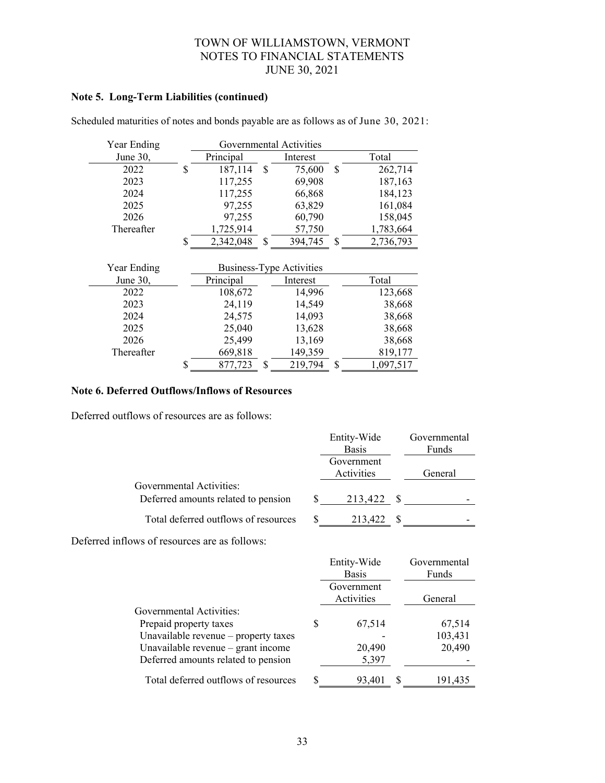## **Note 5. Long-Term Liabilities (continued)**

| Year Ending | Governmental Activities |           |              |                                 |    |           |  |
|-------------|-------------------------|-----------|--------------|---------------------------------|----|-----------|--|
| June 30,    |                         | Principal |              | Interest                        |    | Total     |  |
| 2022        | \$                      | 187,114   | $\mathbb{S}$ | 75,600                          | S  | 262,714   |  |
| 2023        |                         | 117,255   |              | 69,908                          |    | 187,163   |  |
| 2024        |                         | 117,255   |              | 66,868                          |    | 184,123   |  |
| 2025        |                         | 97,255    |              | 63,829                          |    | 161,084   |  |
| 2026        |                         | 97,255    |              | 60,790                          |    | 158,045   |  |
| Thereafter  |                         | 1,725,914 |              | 57,750                          |    | 1,783,664 |  |
|             | \$                      | 2,342,048 | \$           | 394,745                         | \$ | 2,736,793 |  |
|             |                         |           |              |                                 |    |           |  |
| Year Ending |                         |           |              |                                 |    |           |  |
|             |                         |           |              | <b>Business-Type Activities</b> |    |           |  |
| June 30,    |                         | Principal |              | Interest                        |    | Total     |  |
| 2022        |                         | 108,672   |              | 14,996                          |    | 123,668   |  |
| 2023        |                         | 24,119    |              | 14,549                          |    | 38,668    |  |
| 2024        |                         | 24,575    |              | 14,093                          |    | 38,668    |  |
| 2025        |                         | 25,040    |              | 13,628                          |    | 38,668    |  |
| 2026        |                         | 25,499    |              | 13,169                          |    | 38,668    |  |
| Thereafter  |                         | 669,818   |              | 149,359                         |    | 819,177   |  |

Scheduled maturities of notes and bonds payable are as follows as of June 30, 2021:

### **Note 6. Deferred Outflows/Inflows of Resources**

Deferred outflows of resources are as follows:

|                                      | Entity-Wide  | Governmental |
|--------------------------------------|--------------|--------------|
|                                      | <b>Basis</b> | Funds        |
|                                      | Government   |              |
|                                      | Activities   | General      |
| Governmental Activities:             |              |              |
| Deferred amounts related to pension  | 213,422      |              |
| Total deferred outflows of resources | 213.422      |              |

Deferred inflows of resources are as follows:

|                                      |   | Entity-Wide<br><b>Basis</b> |   | Governmental<br>Funds |  |  |
|--------------------------------------|---|-----------------------------|---|-----------------------|--|--|
|                                      |   | Government<br>Activities    |   | General               |  |  |
| Governmental Activities:             |   |                             |   |                       |  |  |
| Prepaid property taxes               | S | 67,514                      |   | 67,514                |  |  |
| Unavailable revenue - property taxes |   |                             |   | 103,431               |  |  |
| Unavailable revenue – grant income   |   | 20,490                      |   | 20,490                |  |  |
| Deferred amounts related to pension  |   | 5,397                       |   |                       |  |  |
| Total deferred outflows of resources |   | 93,401                      | S | 191,435               |  |  |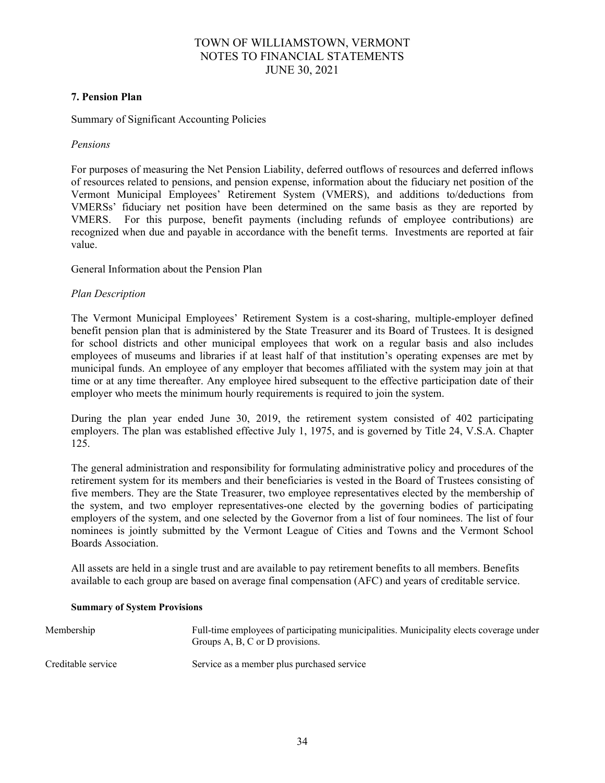### **7. Pension Plan**

Summary of Significant Accounting Policies

### *Pensions*

For purposes of measuring the Net Pension Liability, deferred outflows of resources and deferred inflows of resources related to pensions, and pension expense, information about the fiduciary net position of the Vermont Municipal Employees' Retirement System (VMERS), and additions to/deductions from VMERSs' fiduciary net position have been determined on the same basis as they are reported by VMERS. For this purpose, benefit payments (including refunds of employee contributions) are recognized when due and payable in accordance with the benefit terms. Investments are reported at fair value.

General Information about the Pension Plan

### *Plan Description*

The Vermont Municipal Employees' Retirement System is a cost-sharing, multiple-employer defined benefit pension plan that is administered by the State Treasurer and its Board of Trustees. It is designed for school districts and other municipal employees that work on a regular basis and also includes employees of museums and libraries if at least half of that institution's operating expenses are met by municipal funds. An employee of any employer that becomes affiliated with the system may join at that time or at any time thereafter. Any employee hired subsequent to the effective participation date of their employer who meets the minimum hourly requirements is required to join the system.

During the plan year ended June 30, 2019, the retirement system consisted of 402 participating employers. The plan was established effective July 1, 1975, and is governed by Title 24, V.S.A. Chapter 125.

The general administration and responsibility for formulating administrative policy and procedures of the retirement system for its members and their beneficiaries is vested in the Board of Trustees consisting of five members. They are the State Treasurer, two employee representatives elected by the membership of the system, and two employer representatives-one elected by the governing bodies of participating employers of the system, and one selected by the Governor from a list of four nominees. The list of four nominees is jointly submitted by the Vermont League of Cities and Towns and the Vermont School Boards Association.

All assets are held in a single trust and are available to pay retirement benefits to all members. Benefits available to each group are based on average final compensation (AFC) and years of creditable service.

#### **Summary of System Provisions**

| Membership         | Full-time employees of participating municipalities. Municipality elects coverage under<br>Groups A, B, C or D provisions. |
|--------------------|----------------------------------------------------------------------------------------------------------------------------|
| Creditable service | Service as a member plus purchased service                                                                                 |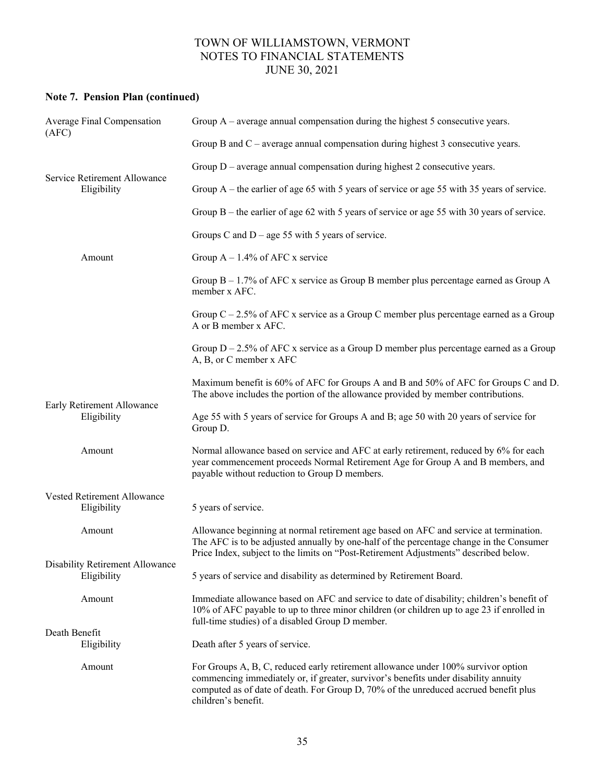# **Note 7. Pension Plan (continued)**

| Average Final Compensation<br>(AFC)            | Group $A$ – average annual compensation during the highest 5 consecutive years.                                                                                                                                                                                                         |  |  |  |  |  |
|------------------------------------------------|-----------------------------------------------------------------------------------------------------------------------------------------------------------------------------------------------------------------------------------------------------------------------------------------|--|--|--|--|--|
|                                                | Group B and $C$ – average annual compensation during highest 3 consecutive years.                                                                                                                                                                                                       |  |  |  |  |  |
|                                                | Group $D$ – average annual compensation during highest 2 consecutive years.                                                                                                                                                                                                             |  |  |  |  |  |
| Service Retirement Allowance<br>Eligibility    | Group A – the earlier of age 65 with 5 years of service or age 55 with 35 years of service.                                                                                                                                                                                             |  |  |  |  |  |
|                                                | Group $B$ – the earlier of age 62 with 5 years of service or age 55 with 30 years of service.                                                                                                                                                                                           |  |  |  |  |  |
|                                                | Groups C and $D$ – age 55 with 5 years of service.                                                                                                                                                                                                                                      |  |  |  |  |  |
| Amount                                         | Group $A - 1.4\%$ of AFC x service                                                                                                                                                                                                                                                      |  |  |  |  |  |
|                                                | Group $B - 1.7\%$ of AFC x service as Group B member plus percentage earned as Group A<br>member x AFC.                                                                                                                                                                                 |  |  |  |  |  |
|                                                | Group $C - 2.5\%$ of AFC x service as a Group C member plus percentage earned as a Group<br>A or B member x AFC.                                                                                                                                                                        |  |  |  |  |  |
|                                                | Group $D - 2.5\%$ of AFC x service as a Group D member plus percentage earned as a Group<br>A, B, or C member x AFC                                                                                                                                                                     |  |  |  |  |  |
| Early Retirement Allowance                     | Maximum benefit is 60% of AFC for Groups A and B and 50% of AFC for Groups C and D.<br>The above includes the portion of the allowance provided by member contributions.                                                                                                                |  |  |  |  |  |
| Eligibility                                    | Age 55 with 5 years of service for Groups A and B; age 50 with 20 years of service for<br>Group D.                                                                                                                                                                                      |  |  |  |  |  |
| Amount                                         | Normal allowance based on service and AFC at early retirement, reduced by 6% for each<br>year commencement proceeds Normal Retirement Age for Group A and B members, and<br>payable without reduction to Group D members.                                                               |  |  |  |  |  |
| Vested Retirement Allowance<br>Eligibility     | 5 years of service.                                                                                                                                                                                                                                                                     |  |  |  |  |  |
| Amount                                         | Allowance beginning at normal retirement age based on AFC and service at termination.<br>The AFC is to be adjusted annually by one-half of the percentage change in the Consumer<br>Price Index, subject to the limits on "Post-Retirement Adjustments" described below.                |  |  |  |  |  |
| Disability Retirement Allowance<br>Eligibility | 5 years of service and disability as determined by Retirement Board.                                                                                                                                                                                                                    |  |  |  |  |  |
| Amount                                         | Immediate allowance based on AFC and service to date of disability; children's benefit of<br>10% of AFC payable to up to three minor children (or children up to age 23 if enrolled in<br>full-time studies) of a disabled Group D member.                                              |  |  |  |  |  |
| Death Benefit<br>Eligibility                   | Death after 5 years of service.                                                                                                                                                                                                                                                         |  |  |  |  |  |
|                                                |                                                                                                                                                                                                                                                                                         |  |  |  |  |  |
| Amount                                         | For Groups A, B, C, reduced early retirement allowance under 100% survivor option<br>commencing immediately or, if greater, survivor's benefits under disability annuity<br>computed as of date of death. For Group D, 70% of the unreduced accrued benefit plus<br>children's benefit. |  |  |  |  |  |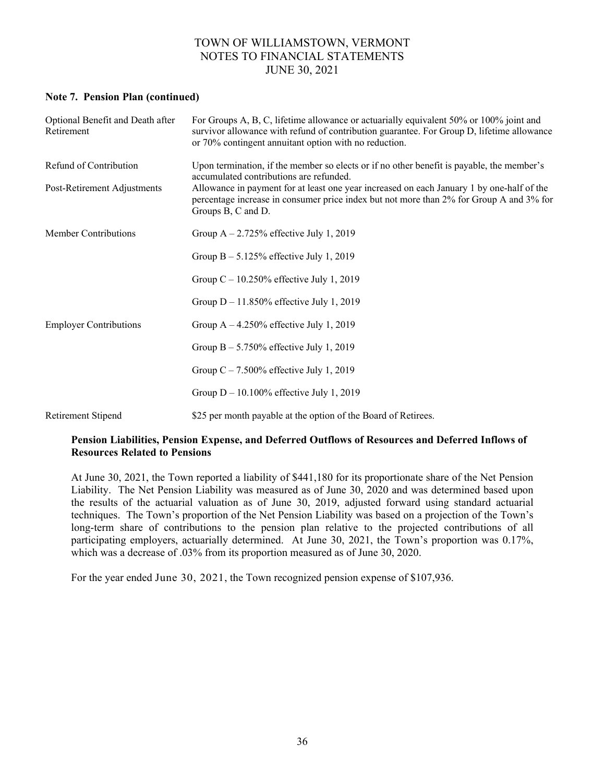#### **Note 7. Pension Plan (continued)**

| Optional Benefit and Death after<br>Retirement | For Groups A, B, C, lifetime allowance or actuarially equivalent 50% or 100% joint and<br>survivor allowance with refund of contribution guarantee. For Group D, lifetime allowance<br>or 70% contingent annuitant option with no reduction. |
|------------------------------------------------|----------------------------------------------------------------------------------------------------------------------------------------------------------------------------------------------------------------------------------------------|
| Refund of Contribution                         | Upon termination, if the member so elects or if no other benefit is payable, the member's<br>accumulated contributions are refunded.                                                                                                         |
| Post-Retirement Adjustments                    | Allowance in payment for at least one year increased on each January 1 by one-half of the<br>percentage increase in consumer price index but not more than 2% for Group A and 3% for<br>Groups B, C and D.                                   |
| <b>Member Contributions</b>                    | Group $A - 2.725\%$ effective July 1, 2019                                                                                                                                                                                                   |
|                                                | Group $B - 5.125\%$ effective July 1, 2019                                                                                                                                                                                                   |
|                                                | Group $C - 10.250\%$ effective July 1, 2019                                                                                                                                                                                                  |
|                                                | Group $D - 11.850\%$ effective July 1, 2019                                                                                                                                                                                                  |
| <b>Employer Contributions</b>                  | Group $A - 4.250\%$ effective July 1, 2019                                                                                                                                                                                                   |
|                                                | Group $B - 5.750\%$ effective July 1, 2019                                                                                                                                                                                                   |
|                                                | Group $C - 7.500\%$ effective July 1, 2019                                                                                                                                                                                                   |
|                                                | Group $D - 10.100\%$ effective July 1, 2019                                                                                                                                                                                                  |
| Retirement Stipend                             | \$25 per month payable at the option of the Board of Retirees.                                                                                                                                                                               |

### **Pension Liabilities, Pension Expense, and Deferred Outflows of Resources and Deferred Inflows of Resources Related to Pensions**

At June 30, 2021, the Town reported a liability of \$441,180 for its proportionate share of the Net Pension Liability. The Net Pension Liability was measured as of June 30, 2020 and was determined based upon the results of the actuarial valuation as of June 30, 2019, adjusted forward using standard actuarial techniques. The Town's proportion of the Net Pension Liability was based on a projection of the Town's long-term share of contributions to the pension plan relative to the projected contributions of all participating employers, actuarially determined. At June 30, 2021, the Town's proportion was 0.17%, which was a decrease of .03% from its proportion measured as of June 30, 2020.

For the year ended June 30, 2021, the Town recognized pension expense of \$107,936.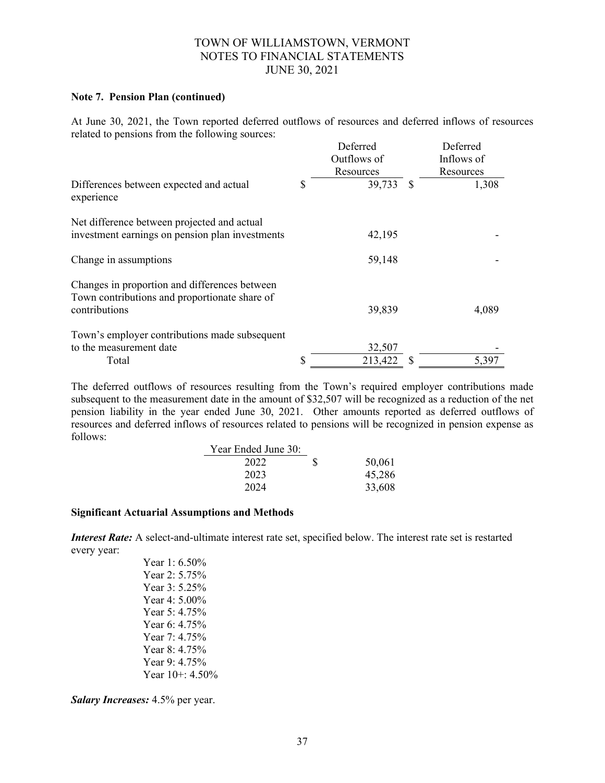#### **Note 7. Pension Plan (continued)**

At June 30, 2021, the Town reported deferred outflows of resources and deferred inflows of resources related to pensions from the following sources:

|                                                                                                                 |    | Deferred<br>Outflows of<br>Resources |               | Deferred<br>Inflows of<br>Resources |
|-----------------------------------------------------------------------------------------------------------------|----|--------------------------------------|---------------|-------------------------------------|
| Differences between expected and actual<br>experience                                                           | S  | 39,733                               | - \$          | 1,308                               |
| Net difference between projected and actual<br>investment earnings on pension plan investments                  |    | 42,195                               |               |                                     |
| Change in assumptions                                                                                           |    | 59,148                               |               |                                     |
| Changes in proportion and differences between<br>Town contributions and proportionate share of<br>contributions |    | 39,839                               |               | 4,089                               |
| Town's employer contributions made subsequent<br>to the measurement date<br>Total                               | \$ | 32,507<br>213,422                    | <sup>\$</sup> | 5,397                               |

The deferred outflows of resources resulting from the Town's required employer contributions made subsequent to the measurement date in the amount of \$32,507 will be recognized as a reduction of the net pension liability in the year ended June 30, 2021. Other amounts reported as deferred outflows of resources and deferred inflows of resources related to pensions will be recognized in pension expense as follows:

| Year Ended June 30: |   |        |
|---------------------|---|--------|
| 2022                | S | 50,061 |
| 2023                |   | 45,286 |
| 2024                |   | 33,608 |

### **Significant Actuarial Assumptions and Methods**

*Interest Rate:* A select-and-ultimate interest rate set, specified below. The interest rate set is restarted every year:

> Year 1: 6.50% Year 2: 5.75% Year 3: 5.25% Year 4: 5.00% Year 5: 4.75% Year 6: 4.75% Year 7: 4.75% Year 8: 4.75% Year 9: 4.75% Year 10+: 4.50%

*Salary Increases:* 4.5% per year.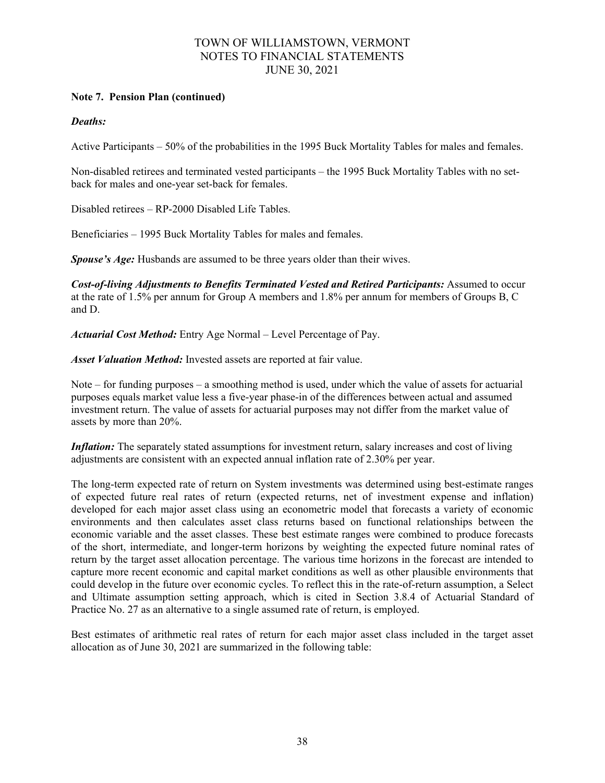### **Note 7. Pension Plan (continued)**

*Deaths:* 

Active Participants – 50% of the probabilities in the 1995 Buck Mortality Tables for males and females.

Non-disabled retirees and terminated vested participants – the 1995 Buck Mortality Tables with no setback for males and one-year set-back for females.

Disabled retirees – RP-2000 Disabled Life Tables.

Beneficiaries – 1995 Buck Mortality Tables for males and females.

*Spouse's Age:* Husbands are assumed to be three years older than their wives.

*Cost-of-living Adjustments to Benefits Terminated Vested and Retired Participants:* Assumed to occur at the rate of 1.5% per annum for Group A members and 1.8% per annum for members of Groups B, C and D.

*Actuarial Cost Method:* Entry Age Normal – Level Percentage of Pay.

*Asset Valuation Method:* Invested assets are reported at fair value.

Note – for funding purposes – a smoothing method is used, under which the value of assets for actuarial purposes equals market value less a five-year phase-in of the differences between actual and assumed investment return. The value of assets for actuarial purposes may not differ from the market value of assets by more than 20%.

*Inflation:* The separately stated assumptions for investment return, salary increases and cost of living adjustments are consistent with an expected annual inflation rate of 2.30% per year.

The long-term expected rate of return on System investments was determined using best-estimate ranges of expected future real rates of return (expected returns, net of investment expense and inflation) developed for each major asset class using an econometric model that forecasts a variety of economic environments and then calculates asset class returns based on functional relationships between the economic variable and the asset classes. These best estimate ranges were combined to produce forecasts of the short, intermediate, and longer-term horizons by weighting the expected future nominal rates of return by the target asset allocation percentage. The various time horizons in the forecast are intended to capture more recent economic and capital market conditions as well as other plausible environments that could develop in the future over economic cycles. To reflect this in the rate-of-return assumption, a Select and Ultimate assumption setting approach, which is cited in Section 3.8.4 of Actuarial Standard of Practice No. 27 as an alternative to a single assumed rate of return, is employed.

Best estimates of arithmetic real rates of return for each major asset class included in the target asset allocation as of June 30, 2021 are summarized in the following table: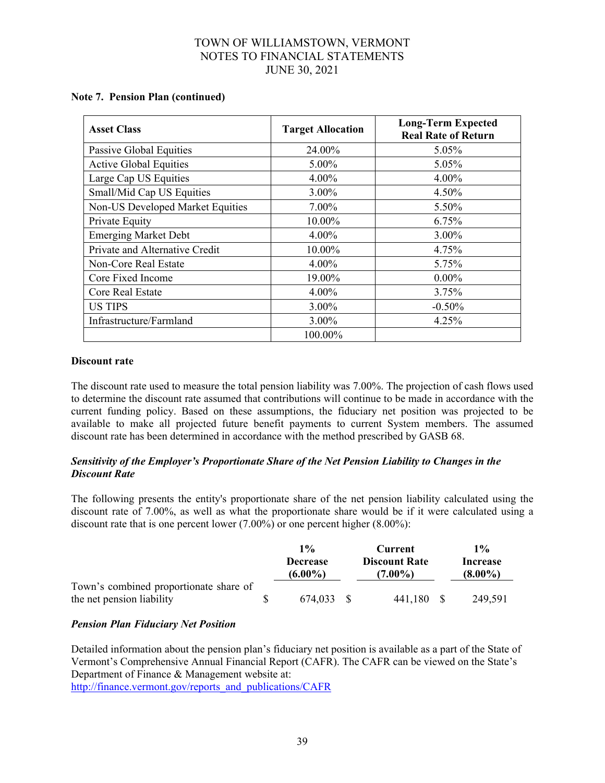#### **Note 7. Pension Plan (continued)**

| <b>Asset Class</b>                      | <b>Target Allocation</b> | <b>Long-Term Expected</b><br><b>Real Rate of Return</b> |
|-----------------------------------------|--------------------------|---------------------------------------------------------|
| Passive Global Equities                 | 24.00%                   | 5.05%                                                   |
| <b>Active Global Equities</b>           | 5.00%                    | 5.05%                                                   |
| Large Cap US Equities                   | 4.00%                    | 4.00%                                                   |
| Small/Mid Cap US Equities               | 3.00%                    | 4.50%                                                   |
| <b>Non-US Developed Market Equities</b> | $7.00\%$                 | 5.50%                                                   |
| Private Equity                          | 10.00%                   | 6.75%                                                   |
| <b>Emerging Market Debt</b>             | $4.00\%$                 | 3.00%                                                   |
| Private and Alternative Credit          | $10.00\%$                | 4.75%                                                   |
| Non-Core Real Estate                    | 4.00%                    | 5.75%                                                   |
| Core Fixed Income                       | 19.00%                   | $0.00\%$                                                |
| Core Real Estate                        | 4.00%                    | 3.75%                                                   |
| <b>US TIPS</b>                          | 3.00%                    | $-0.50%$                                                |
| Infrastructure/Farmland                 | 3.00%                    | 4.25%                                                   |
|                                         | 100.00%                  |                                                         |

### **Discount rate**

The discount rate used to measure the total pension liability was 7.00%. The projection of cash flows used to determine the discount rate assumed that contributions will continue to be made in accordance with the current funding policy. Based on these assumptions, the fiduciary net position was projected to be available to make all projected future benefit payments to current System members. The assumed discount rate has been determined in accordance with the method prescribed by GASB 68.

### *Sensitivity of the Employer's Proportionate Share of the Net Pension Liability to Changes in the Discount Rate*

The following presents the entity's proportionate share of the net pension liability calculated using the discount rate of 7.00%, as well as what the proportionate share would be if it were calculated using a discount rate that is one percent lower  $(7.00\%)$  or one percent higher  $(8.00\%)$ :

|                                        | 1%                            |  | Current                            | $1\%$                  |
|----------------------------------------|-------------------------------|--|------------------------------------|------------------------|
|                                        | <b>Decrease</b><br>$(6.00\%)$ |  | <b>Discount Rate</b><br>$(7.00\%)$ | Increase<br>$(8.00\%)$ |
| Town's combined proportionate share of |                               |  |                                    |                        |
| the net pension liability              | 674.033 \$                    |  | 441.180                            | 249.591                |

### *Pension Plan Fiduciary Net Position*

Detailed information about the pension plan's fiduciary net position is available as a part of the State of Vermont's Comprehensive Annual Financial Report (CAFR). The CAFR can be viewed on the State's Department of Finance & Management website at:

http://finance.vermont.gov/reports\_and\_publications/CAFR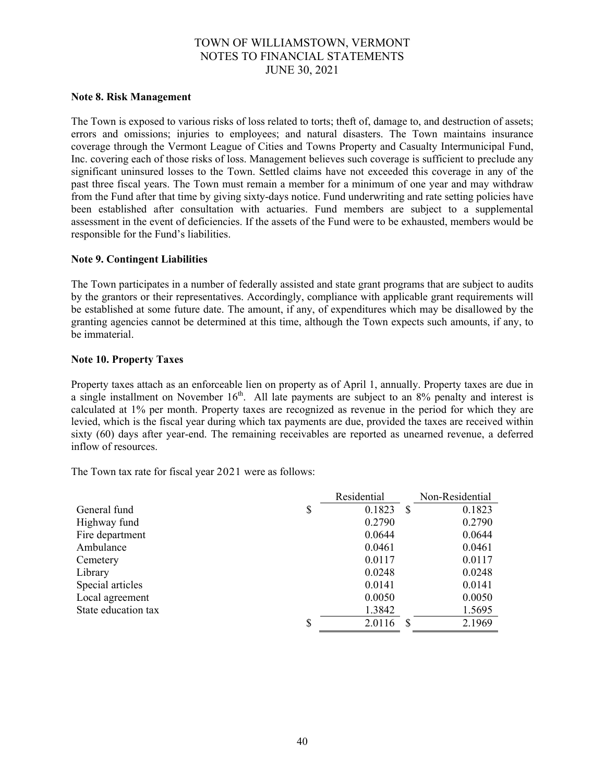#### **Note 8. Risk Management**

The Town is exposed to various risks of loss related to torts; theft of, damage to, and destruction of assets; errors and omissions; injuries to employees; and natural disasters. The Town maintains insurance coverage through the Vermont League of Cities and Towns Property and Casualty Intermunicipal Fund, Inc. covering each of those risks of loss. Management believes such coverage is sufficient to preclude any significant uninsured losses to the Town. Settled claims have not exceeded this coverage in any of the past three fiscal years. The Town must remain a member for a minimum of one year and may withdraw from the Fund after that time by giving sixty-days notice. Fund underwriting and rate setting policies have been established after consultation with actuaries. Fund members are subject to a supplemental assessment in the event of deficiencies. If the assets of the Fund were to be exhausted, members would be responsible for the Fund's liabilities.

#### **Note 9. Contingent Liabilities**

The Town participates in a number of federally assisted and state grant programs that are subject to audits by the grantors or their representatives. Accordingly, compliance with applicable grant requirements will be established at some future date. The amount, if any, of expenditures which may be disallowed by the granting agencies cannot be determined at this time, although the Town expects such amounts, if any, to be immaterial.

#### **Note 10. Property Taxes**

Property taxes attach as an enforceable lien on property as of April 1, annually. Property taxes are due in a single installment on November  $16<sup>th</sup>$ . All late payments are subject to an 8% penalty and interest is calculated at 1% per month. Property taxes are recognized as revenue in the period for which they are levied, which is the fiscal year during which tax payments are due, provided the taxes are received within sixty (60) days after year-end. The remaining receivables are reported as unearned revenue, a deferred inflow of resources.

The Town tax rate for fiscal year 2021 were as follows:

|                     | Residential  |    | Non-Residential |
|---------------------|--------------|----|-----------------|
| General fund        | \$<br>0.1823 | -S | 0.1823          |
| Highway fund        | 0.2790       |    | 0.2790          |
| Fire department     | 0.0644       |    | 0.0644          |
| Ambulance           | 0.0461       |    | 0.0461          |
| Cemetery            | 0.0117       |    | 0.0117          |
| Library             | 0.0248       |    | 0.0248          |
| Special articles    | 0.0141       |    | 0.0141          |
| Local agreement     | 0.0050       |    | 0.0050          |
| State education tax | 1.3842       |    | 1.5695          |
|                     | \$<br>2.0116 |    | 2.1969          |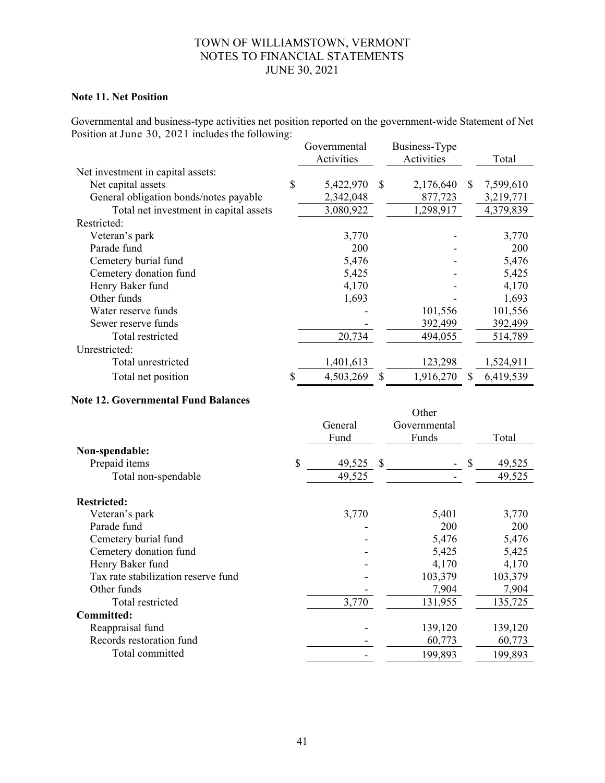### **Note 11. Net Position**

Governmental and business-type activities net position reported on the government-wide Statement of Net Position at June 30, 2021 includes the following:

|                                        | Governmental    |               | Business-Type |     |            |
|----------------------------------------|-----------------|---------------|---------------|-----|------------|
|                                        | Activities      |               | Activities    |     | Total      |
| Net investment in capital assets:      |                 |               |               |     |            |
| Net capital assets                     | \$<br>5,422,970 | <sup>\$</sup> | 2,176,640     | \$. | 7,599,610  |
| General obligation bonds/notes payable | 2,342,048       |               | 877,723       |     | 3,219,771  |
| Total net investment in capital assets | 3,080,922       |               | 1,298,917     |     | 4,379,839  |
| Restricted:                            |                 |               |               |     |            |
| Veteran's park                         | 3,770           |               |               |     | 3,770      |
| Parade fund                            | 200             |               |               |     | <b>200</b> |
| Cemetery burial fund                   | 5,476           |               |               |     | 5,476      |
| Cemetery donation fund                 | 5,425           |               |               |     | 5,425      |
| Henry Baker fund                       | 4,170           |               |               |     | 4,170      |
| Other funds                            | 1,693           |               |               |     | 1,693      |
| Water reserve funds                    |                 |               | 101,556       |     | 101,556    |
| Sewer reserve funds                    |                 |               | 392,499       |     | 392,499    |
| Total restricted                       | 20,734          |               | 494,055       |     | 514,789    |
| Unrestricted:                          |                 |               |               |     |            |
| Total unrestricted                     | 1,401,613       |               | 123,298       |     | 1,524,911  |
| Total net position                     | \$<br>4,503,269 | S             | 1,916,270     | S   | 6,419,539  |

### **Note 12. Governmental Fund Balances**

|                                     |              |               | Other      |              |  |
|-------------------------------------|--------------|---------------|------------|--------------|--|
|                                     | General      |               |            |              |  |
|                                     | Fund         |               | Funds      | Total        |  |
| Non-spendable:                      |              |               |            |              |  |
| Prepaid items                       | \$<br>49,525 | <sup>\$</sup> |            | \$<br>49,525 |  |
| Total non-spendable                 | 49,525       |               |            | 49,525       |  |
| <b>Restricted:</b>                  |              |               |            |              |  |
| Veteran's park                      | 3,770        |               | 5,401      | 3,770        |  |
| Parade fund                         |              |               | <b>200</b> | <b>200</b>   |  |
| Cemetery burial fund                |              |               | 5,476      | 5,476        |  |
| Cemetery donation fund              |              |               | 5,425      | 5,425        |  |
| Henry Baker fund                    |              |               | 4,170      | 4,170        |  |
| Tax rate stabilization reserve fund |              |               | 103,379    | 103,379      |  |
| Other funds                         |              |               | 7,904      | 7,904        |  |
| Total restricted                    | 3,770        |               | 131,955    | 135,725      |  |
| Committed:                          |              |               |            |              |  |
| Reappraisal fund                    |              |               | 139,120    | 139,120      |  |
| Records restoration fund            |              |               | 60,773     | 60,773       |  |
| Total committed                     |              |               | 199,893    | 199,893      |  |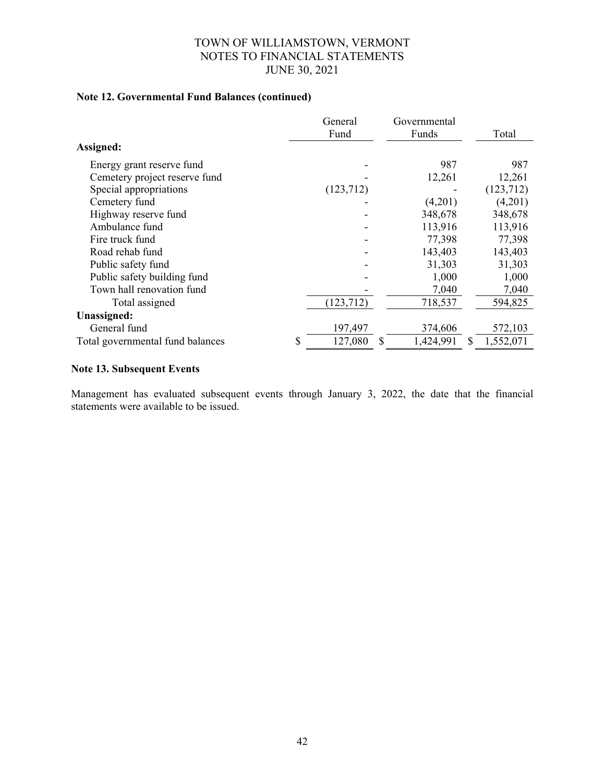## **Note 12. Governmental Fund Balances (continued)**

|                                  | General       |     | Governmental |   |            |
|----------------------------------|---------------|-----|--------------|---|------------|
|                                  | Fund          |     | Funds        |   | Total      |
| Assigned:                        |               |     |              |   |            |
| Energy grant reserve fund        |               |     | 987          |   | 987        |
| Cemetery project reserve fund    |               |     | 12,261       |   | 12,261     |
| Special appropriations           | (123, 712)    |     |              |   | (123, 712) |
| Cemetery fund                    |               |     | (4,201)      |   | (4,201)    |
| Highway reserve fund             |               |     | 348,678      |   | 348,678    |
| Ambulance fund                   |               |     | 113,916      |   | 113,916    |
| Fire truck fund                  |               |     | 77,398       |   | 77,398     |
| Road rehab fund                  |               |     | 143,403      |   | 143,403    |
| Public safety fund               |               |     | 31,303       |   | 31,303     |
| Public safety building fund      |               |     | 1,000        |   | 1,000      |
| Town hall renovation fund        |               |     | 7,040        |   | 7,040      |
| Total assigned                   | (123, 712)    |     | 718,537      |   | 594,825    |
| Unassigned:                      |               |     |              |   |            |
| General fund                     | 197,497       |     | 374,606      |   | 572,103    |
| Total governmental fund balances | \$<br>127,080 | \$. | 1,424,991    | S | 1,552,071  |

#### **Note 13. Subsequent Events**

Management has evaluated subsequent events through January 3, 2022, the date that the financial statements were available to be issued.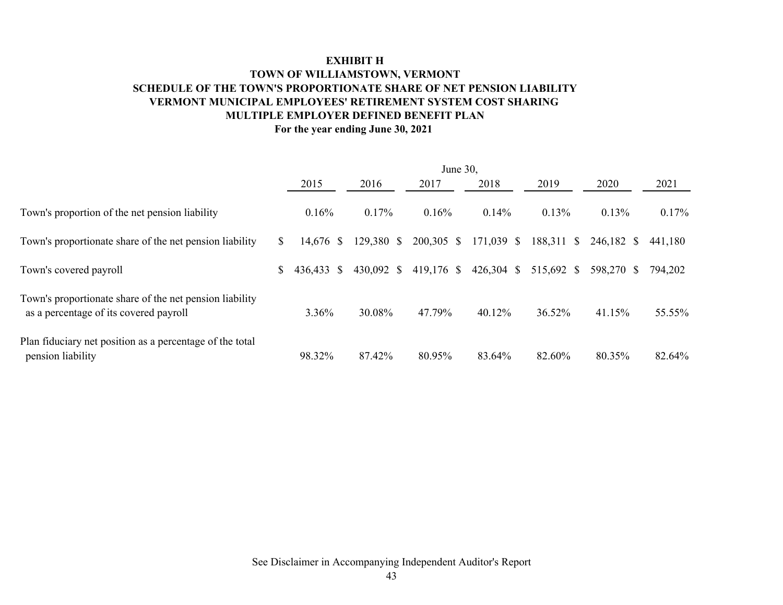### **EXHIBIT H**

## **TOWN OF WILLIAMSTOWN, VERMONT SCHEDULE OF THE TOWN'S PROPORTIONATE SHARE OF NET PENSION LIABILITYVERMONT MUNICIPAL EMPLOYEES' RETIREMENT SYSTEM COST SHARING MULTIPLE EMPLOYER DEFINED BENEFIT PLAN For the year ending June 30, 2021**

|                                                                                                   | June $30$ , |            |            |            |              |            |            |          |  |  |  |  |  |
|---------------------------------------------------------------------------------------------------|-------------|------------|------------|------------|--------------|------------|------------|----------|--|--|--|--|--|
|                                                                                                   |             | 2015       | 2016       | 2017       | 2018         | 2019       | 2020       | 2021     |  |  |  |  |  |
| Town's proportion of the net pension liability                                                    |             | 0.16%      | 0.17%      | $0.16\%$   | 0.14%        | 0.13%      | 0.13%      | $0.17\%$ |  |  |  |  |  |
| Town's proportionate share of the net pension liability                                           | S.          | 14,676 \$  | 129,380 \$ | 200,305 \$ | 171,039 \$   | 188,311 \$ | 246,182 \$ | 441,180  |  |  |  |  |  |
| Town's covered payroll                                                                            | S.          | 436,433 \$ | 430,092 \$ | 419,176 \$ | $426,304$ \$ | 515,692 \$ | 598,270 \$ | 794,202  |  |  |  |  |  |
| Town's proportionate share of the net pension liability<br>as a percentage of its covered payroll |             | $3.36\%$   | 30.08%     | 47.79%     | 40.12%       | 36.52%     | 41.15%     | 55.55%   |  |  |  |  |  |
| Plan fiduciary net position as a percentage of the total<br>pension liability                     |             | 98.32%     | 87.42%     | 80.95%     | 83.64%       | 82.60%     | 80.35%     | 82.64%   |  |  |  |  |  |

See Disclaimer in Accompanying Independent Auditor's Report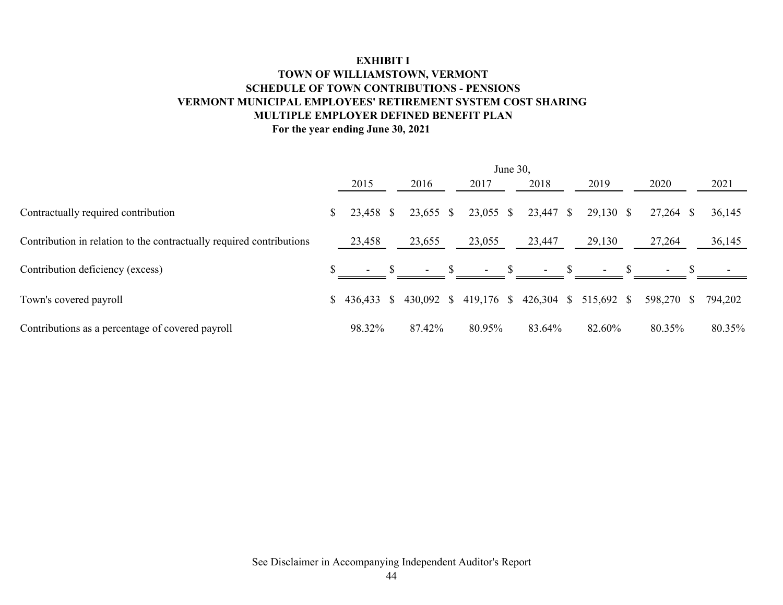#### **EXHIBIT I**

# **For the year ending June 30, 2021 TOWN OF WILLIAMSTOWN, VERMONT SCHEDULE OF TOWN CONTRIBUTIONS - PENSIONS VERMONT MUNICIPAL EMPLOYEES' RETIREMENT SYSTEM COST SHARING MULTIPLE EMPLOYER DEFINED BENEFIT PLAN**

|                                                                      |                |            |              |            |              |           | June 30, |                                  |  |                          |  |                          |         |
|----------------------------------------------------------------------|----------------|------------|--------------|------------|--------------|-----------|----------|----------------------------------|--|--------------------------|--|--------------------------|---------|
|                                                                      |                | 2015       |              |            |              | 2017      |          | 2018                             |  | 2019                     |  | 2020                     | 2021    |
| Contractually required contribution                                  | \$             | 23,458     | <sup>S</sup> | 23,655 \$  |              | 23,055 \$ |          | 23,447 \$                        |  | 29,130 \$                |  | $27,264$ \$              | 36,145  |
| Contribution in relation to the contractually required contributions |                | 23,458     |              | 23,655     |              | 23,055    |          | 23,447                           |  | 29,130                   |  | 27,264                   | 36,145  |
| Contribution deficiency (excess)                                     |                |            |              | $\sim$     | $\mathbb{S}$ | $-$ \$    |          | $-$ \$                           |  | <b>Contract Contract</b> |  | $\overline{\phantom{a}}$ |         |
| Town's covered payroll                                               | $\mathbb{S}^-$ | 436,433 \$ |              | 430,092 \$ |              |           |          | 419,176 \$ 426,304 \$ 515,692 \$ |  |                          |  | 598,270 \$               | 794,202 |
| Contributions as a percentage of covered payroll                     |                | 98.32%     |              | 87.42%     |              | 80.95%    |          | 83.64%                           |  | 82.60%                   |  | 80.35%                   | 80.35%  |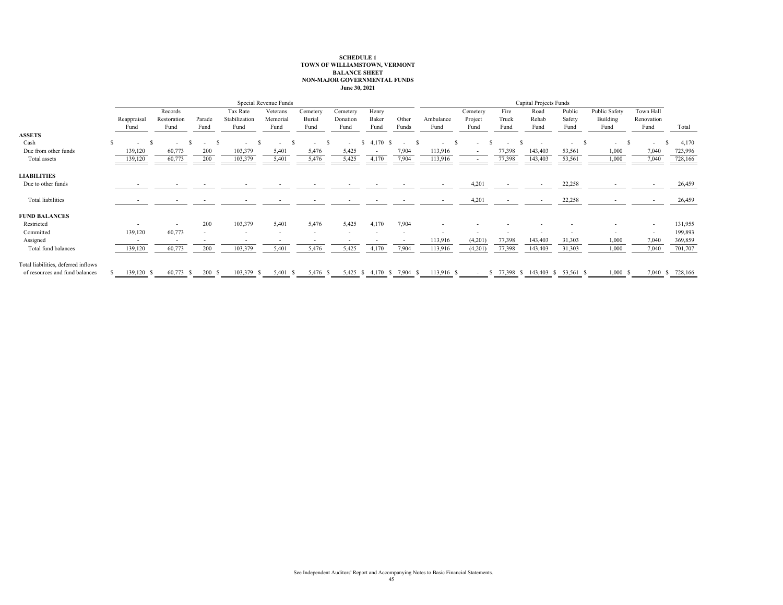#### **SCHEDULE 1 TOWN OF WILLIAMSTOWN, VERMONT BALANCE SHEET NON-MAJOR GOVERNMENTAL FUNDS June 30, 2021**

|                                     |    |             |             |                          |                                    | Special Revenue Funds |                          |                          | Capital Projects Funds |                            |                          |                          |               |                                |                          |                               |                 |                    |
|-------------------------------------|----|-------------|-------------|--------------------------|------------------------------------|-----------------------|--------------------------|--------------------------|------------------------|----------------------------|--------------------------|--------------------------|---------------|--------------------------------|--------------------------|-------------------------------|-----------------|--------------------|
|                                     |    |             | Records     |                          | Tax Rate<br>Veterans               |                       | Cemetery                 | Cemetery                 | Henry                  |                            |                          | Cemetery                 | Fire          | Road                           | Public                   | Public Safety                 | Town Hall       |                    |
|                                     |    | Reappraisal | Restoration | Parade                   | Stabilization                      | Memorial              | Burial                   | Donation                 | Baker                  | Other                      | Ambulance                | Project                  | Truck         | Rehab                          | Safety                   | Building                      | Renovation      |                    |
|                                     |    | Fund        | Fund        | Fund                     | Fund                               | Fund                  | Fund                     | Fund                     | Fund                   | Funds                      | Fund                     | Fund                     | Fund          | Fund                           | Fund                     | Fund                          | Fund            | Total              |
| <b>ASSETS</b>                       |    |             |             |                          |                                    |                       |                          |                          |                        |                            |                          |                          |               |                                |                          |                               |                 |                    |
| Cash                                | ×. | $\sim$      | -S          | $\overline{\phantom{0}}$ | $\overline{\phantom{a}}$           | -S<br>$\sim$          | $\overline{\phantom{a}}$ | $\overline{\phantom{a}}$ | 4,170<br>-S<br>- \$    | $\sim$                     | $\overline{\phantom{a}}$ | $\overline{\phantom{a}}$ | - S<br>$\sim$ | $\overline{\phantom{a}}$       | $\overline{\phantom{a}}$ | -S<br>- S<br>$\sim$ 100 $\mu$ | $\sim$          | 4,170              |
| Due from other funds                |    | 139,120     | 60,773      | 200                      | 103,379                            | 5,401                 | 5,476                    | 5,425                    |                        | 7,904                      | 113,916                  | $\sim$                   | 77,398        | 143,403                        | 53,561                   | 1,000                         | 7,040           | 723,996            |
| Total assets                        |    | 139,120     | 60,773      | 200                      | 103,379                            | 5,401                 | 5,476                    | 5,425                    | 4,170                  | 7,904                      | 113,916                  |                          | 77,398        | 143,403                        | 53,561                   | 1,000                         | 7,040           | 728,166            |
| <b>LIABILITIES</b>                  |    |             |             |                          |                                    |                       |                          |                          |                        |                            |                          |                          |               |                                |                          |                               |                 |                    |
| Due to other funds                  |    |             |             |                          |                                    |                       |                          |                          |                        |                            |                          | 4,201                    |               |                                | 22,258                   |                               |                 | 26,459             |
|                                     |    |             |             |                          |                                    |                       |                          |                          |                        |                            |                          |                          |               |                                |                          |                               |                 |                    |
| <b>Total liabilities</b>            |    |             |             |                          | $\overline{\phantom{a}}$           |                       |                          |                          |                        |                            |                          | 4,201                    | $\sim$        |                                | 22,258                   |                               |                 | 26,459             |
| <b>FUND BALANCES</b>                |    |             |             |                          |                                    |                       |                          |                          |                        |                            |                          |                          |               |                                |                          |                               |                 |                    |
| Restricted                          |    |             |             | 200                      | 103,379                            | 5.401                 | 5,476                    | 5,425                    | 4,170                  | 7.904                      |                          |                          |               |                                |                          |                               |                 | 131,955            |
| Committed                           |    | 139,120     | 60,773      |                          |                                    |                       |                          |                          |                        |                            |                          |                          |               |                                |                          |                               |                 |                    |
| Assigned                            |    | $\sim$      |             |                          | $\overline{\phantom{0}}$<br>$\sim$ |                       | $\sim$                   |                          |                        | $\overline{\phantom{a}}$   | 113,916                  | (4,201)                  | 77,398        | 143,403                        | 31,303                   | 1,000                         | $\sim$<br>7,040 | 199,893<br>369,859 |
| Total fund balances                 |    | 139,120     | 60,773      | 200                      | 103,379                            | 5,401                 | 5,476                    | 5,425                    |                        | 7,904                      | 113,916                  | (4,201)                  | 77,398        |                                | 31,303                   | 1,000                         | 7,040           | 701,707            |
|                                     |    |             |             |                          |                                    |                       |                          |                          | 4,170                  |                            |                          |                          |               | 143,403                        |                          |                               |                 |                    |
| Total liabilities, deferred inflows |    |             |             |                          |                                    |                       |                          |                          |                        |                            |                          |                          |               |                                |                          |                               |                 |                    |
| of resources and fund balances      |    | 139,120 \$  | 60,773 \$   | 200 S                    | 103,379 \$                         | 5,401 \$              | 5,476 \$                 |                          |                        | 5,425 \$ 4,170 \$ 7,904 \$ | 113,916 \$               | $\sim$                   | S.            | 77,398 \$ 143,403 \$ 53,561 \$ |                          | 1,000 S                       |                 | 7,040 \$ 728,166   |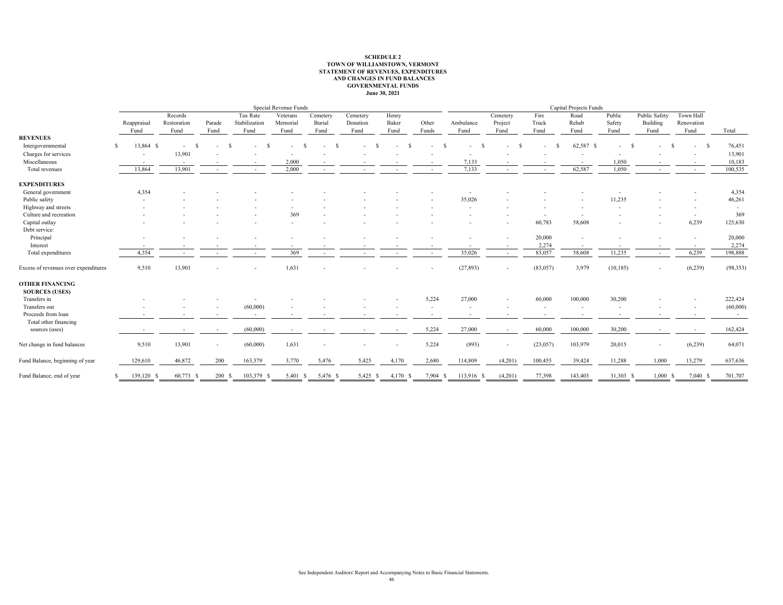# **June 30, 2021 SCHEDULE 2 TOWN OF WILLIAMSTOWN, VERMONT STATEMENT OF REVENUES, EXPENDITURES AND CHANGES IN FUND BALANCES GOVERNMENTAL FUNDS**

|                                                 |   |                     |                                |                          |                                   | Special Revenue Funds        |                            |                              |                          |                | Capital Projects Funds   |                             |                       |                       |                          |                                   |                                 |           |  |
|-------------------------------------------------|---|---------------------|--------------------------------|--------------------------|-----------------------------------|------------------------------|----------------------------|------------------------------|--------------------------|----------------|--------------------------|-----------------------------|-----------------------|-----------------------|--------------------------|-----------------------------------|---------------------------------|-----------|--|
|                                                 |   | Reappraisal<br>Fund | Records<br>Restoration<br>Fund | Parade<br>Fund           | Tax Rate<br>Stabilization<br>Fund | Veterans<br>Memorial<br>Fund | Cemetery<br>Burial<br>Fund | Cemetery<br>Donation<br>Fund | Henry<br>Baker<br>Fund   | Other<br>Funds | Ambulance<br>Fund        | Cemetery<br>Project<br>Fund | Fire<br>Truck<br>Fund | Road<br>Rehab<br>Fund | Public<br>Safety<br>Fund | Public Safety<br>Building<br>Fund | Town Hall<br>Renovation<br>Fund | Total     |  |
| <b>REVENUES</b>                                 |   |                     |                                |                          |                                   |                              |                            |                              |                          |                |                          |                             |                       |                       |                          |                                   |                                 |           |  |
| Intergovernmental                               | S | 13,864 \$           |                                |                          |                                   |                              |                            |                              |                          |                |                          |                             |                       | 62,587 \$             |                          |                                   | - S                             | 76,451    |  |
| Charges for services                            |   |                     | 13,901                         |                          |                                   |                              |                            |                              |                          |                |                          |                             |                       |                       |                          |                                   |                                 | 13,901    |  |
| Miscellaneous                                   |   |                     |                                |                          |                                   | 2,000                        |                            |                              |                          |                | 7,133                    |                             |                       |                       | 1,050                    |                                   |                                 | 10,183    |  |
| Total revenues                                  |   | 13,864              | 13,901                         | $\overline{\phantom{a}}$ |                                   | 2,000                        |                            |                              |                          | $\sim$         | 7,133                    | $\overline{\phantom{a}}$    |                       | 62,587                | 1,050                    |                                   |                                 | 100,535   |  |
| <b>EXPENDITURES</b>                             |   |                     |                                |                          |                                   |                              |                            |                              |                          |                |                          |                             |                       |                       |                          |                                   |                                 |           |  |
| General government                              |   | 4,354               |                                |                          |                                   |                              |                            |                              |                          |                |                          |                             |                       |                       |                          |                                   |                                 | 4,354     |  |
| Public safety                                   |   |                     |                                |                          |                                   |                              |                            |                              |                          |                | 35,026                   |                             |                       |                       | 11,235                   |                                   |                                 | 46,261    |  |
| Highway and streets                             |   |                     |                                |                          |                                   |                              |                            |                              |                          |                |                          |                             |                       |                       |                          |                                   |                                 | $\sim$    |  |
| Culture and recreation                          |   |                     |                                |                          |                                   | 369                          |                            |                              |                          |                |                          |                             |                       |                       |                          |                                   |                                 | 369       |  |
| Capital outlay                                  |   |                     |                                |                          |                                   |                              |                            |                              |                          |                |                          |                             | 60,783                | 58,608                |                          |                                   | 6,239                           | 125,630   |  |
| Debt service:                                   |   |                     |                                |                          |                                   |                              |                            |                              |                          |                |                          |                             |                       |                       |                          |                                   |                                 |           |  |
| Principal                                       |   |                     |                                |                          |                                   |                              |                            |                              |                          |                |                          |                             | 20,000                |                       |                          |                                   |                                 | 20,000    |  |
| Interest                                        |   | $\sim$              |                                |                          |                                   | $\sim$                       |                            |                              |                          |                | $\overline{\phantom{a}}$ | $\sim$                      | 2,274                 | $\sim$                | $\overline{\phantom{a}}$ |                                   | $\sim$                          | 2,274     |  |
| Total expenditures                              |   | 4,354               |                                | $\overline{\phantom{a}}$ | $\overline{\phantom{a}}$          | 369                          | $\overline{\phantom{a}}$   |                              | $\overline{\phantom{a}}$ | $\sim$         | 35,026                   | $\sim$                      | 83,057                | 58,608                | 11,235                   | $\sim$                            | 6.239                           | 198,888   |  |
| Excess of revenues over expenditures            |   | 9,510               | 13,901                         | $\overline{\phantom{a}}$ |                                   | 1,631                        |                            |                              |                          |                | (27, 893)                | $\sim$                      | (83,057)              | 3,979                 | (10, 185)                |                                   | (6,239)                         | (98, 353) |  |
| <b>OTHER FINANCING</b><br><b>SOURCES (USES)</b> |   |                     |                                |                          |                                   |                              |                            |                              |                          |                |                          |                             |                       |                       |                          |                                   |                                 |           |  |
| Transfers in                                    |   |                     |                                |                          |                                   |                              |                            |                              |                          | 5,224          | 27,000                   |                             | 60,000                | 100,000               | 30,200                   |                                   |                                 | 222,424   |  |
| Transfers out                                   |   |                     |                                |                          | (60,000)                          |                              |                            |                              |                          |                |                          |                             |                       |                       |                          |                                   |                                 | (60,000)  |  |
| Proceeds from loan                              |   |                     |                                |                          | $\overline{\phantom{0}}$          |                              |                            |                              |                          |                |                          |                             |                       |                       |                          |                                   |                                 |           |  |
| Total other financing<br>sources (uses)         |   |                     |                                |                          | (60,000)                          |                              |                            |                              |                          | 5,224          | 27,000                   |                             | 60,000                | 100,000               | 30,200                   |                                   |                                 | 162,424   |  |
| Net change in fund balances                     |   | 9,510               | 13,901                         | $\tilde{\phantom{a}}$    | (60,000)                          | 1,631                        |                            |                              |                          | 5,224          | (893)                    | $\sim$                      | (23,057)              | 103,979               | 20,015                   |                                   | (6,239)                         | 64,071    |  |
| Fund Balance, beginning of year                 |   | 129,610             | 46,872                         | 200                      | 163,379                           | 3,770                        | 5,476                      | 5,425                        | 4,170                    | 2,680          | 114,809                  | (4,201)                     | 100,455               | 39,424                | 11,288                   | 1,000                             | 13,279                          | 637,636   |  |
| Fund Balance, end of year                       |   | 139,120 \$          | 60,773 \$                      | 200S                     | 103,379 \$                        | 5,401 \$                     | 5,476 \$                   | 5,425 \$                     | $4,170$ \$               | 7,904 \$       | 113,916 \$               | (4,201)                     | 77,398                | 143,403               | 31,303 \$                | 1,000 S                           | 7,040 \$                        | 701,707   |  |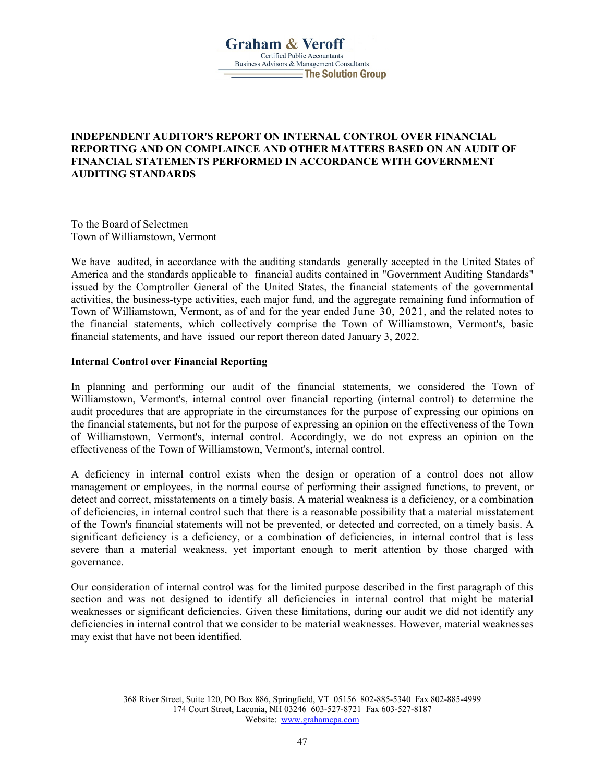### **INDEPENDENT AUDITOR'S REPORT ON INTERNAL CONTROL OVER FINANCIAL REPORTING AND ON COMPLAINCE AND OTHER MATTERS BASED ON AN AUDIT OF FINANCIAL STATEMENTS PERFORMED IN ACCORDANCE WITH GOVERNMENT AUDITING STANDARDS**

To the Board of Selectmen Town of Williamstown, Vermont

We have audited, in accordance with the auditing standards generally accepted in the United States of America and the standards applicable to financial audits contained in "Government Auditing Standards" issued by the Comptroller General of the United States, the financial statements of the governmental activities, the business-type activities, each major fund, and the aggregate remaining fund information of Town of Williamstown, Vermont, as of and for the year ended June 30, 2021, and the related notes to the financial statements, which collectively comprise the Town of Williamstown, Vermont's, basic financial statements, and have issued our report thereon dated January 3, 2022.

### **Internal Control over Financial Reporting**

In planning and performing our audit of the financial statements, we considered the Town of Williamstown, Vermont's, internal control over financial reporting (internal control) to determine the audit procedures that are appropriate in the circumstances for the purpose of expressing our opinions on the financial statements, but not for the purpose of expressing an opinion on the effectiveness of the Town of Williamstown, Vermont's, internal control. Accordingly, we do not express an opinion on the effectiveness of the Town of Williamstown, Vermont's, internal control.

A deficiency in internal control exists when the design or operation of a control does not allow management or employees, in the normal course of performing their assigned functions, to prevent, or detect and correct, misstatements on a timely basis. A material weakness is a deficiency, or a combination of deficiencies, in internal control such that there is a reasonable possibility that a material misstatement of the Town's financial statements will not be prevented, or detected and corrected, on a timely basis. A significant deficiency is a deficiency, or a combination of deficiencies, in internal control that is less severe than a material weakness, yet important enough to merit attention by those charged with governance.

Our consideration of internal control was for the limited purpose described in the first paragraph of this section and was not designed to identify all deficiencies in internal control that might be material weaknesses or significant deficiencies. Given these limitations, during our audit we did not identify any deficiencies in internal control that we consider to be material weaknesses. However, material weaknesses may exist that have not been identified.